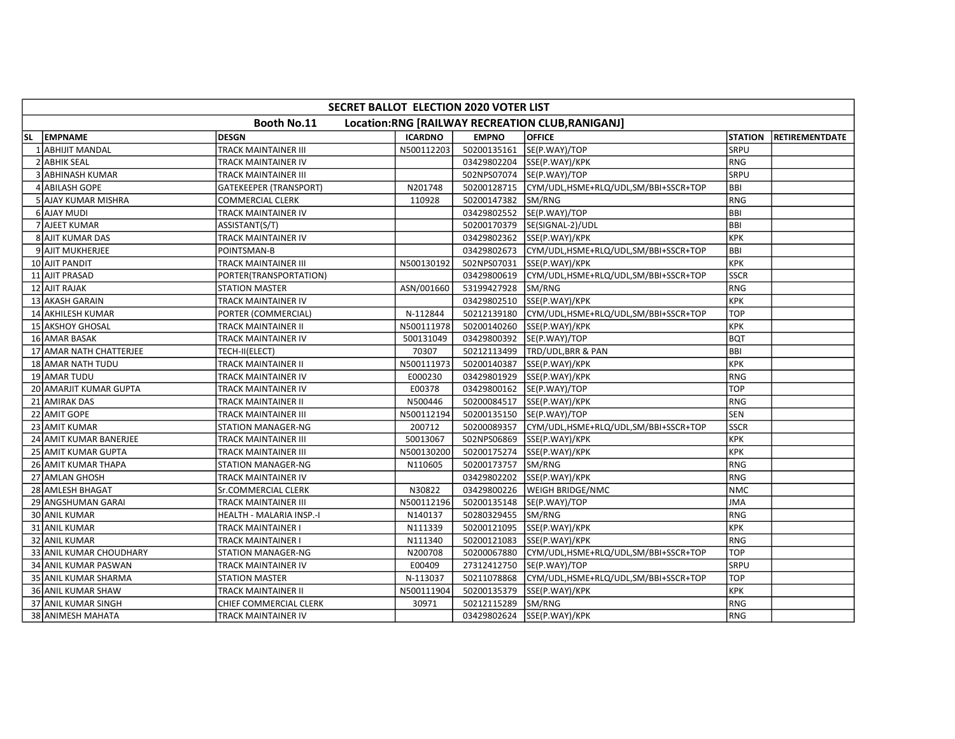|     | SECRET BALLOT ELECTION 2020 VOTER LIST                          |                               |                |              |                                      |                |                       |  |  |  |  |
|-----|-----------------------------------------------------------------|-------------------------------|----------------|--------------|--------------------------------------|----------------|-----------------------|--|--|--|--|
|     | Booth No.11<br>Location:RNG [RAILWAY RECREATION CLUB, RANIGANJ] |                               |                |              |                                      |                |                       |  |  |  |  |
| SL. | <b>EMPNAME</b>                                                  | DESGN                         | <b>ICARDNO</b> | <b>EMPNO</b> | <b>OFFICE</b>                        | <b>STATION</b> | <b>RETIREMENTDATE</b> |  |  |  |  |
| -1  | <b>ABHIJIT MANDAL</b>                                           | <b>TRACK MAINTAINER III</b>   | N500112203     | 50200135161  | SE(P.WAY)/TOP                        | SRPU           |                       |  |  |  |  |
|     | 2 ABHIK SEAL                                                    | TRACK MAINTAINER IV           |                |              | 03429802204 SSE(P.WAY)/KPK           | RNG            |                       |  |  |  |  |
|     | 3 ABHINASH KUMAR                                                | TRACK MAINTAINER III          |                | 502NPS07074  | SE(P.WAY)/TOP                        | <b>SRPU</b>    |                       |  |  |  |  |
|     | 4 ABILASH GOPE                                                  | <b>GATEKEEPER (TRANSPORT)</b> | N201748        | 50200128715  | CYM/UDL,HSME+RLQ/UDL,SM/BBI+SSCR+TOP | <b>BBI</b>     |                       |  |  |  |  |
|     | 5 AJAY KUMAR MISHRA                                             | <b>COMMERCIAL CLERK</b>       | 110928         | 50200147382  | SM/RNG                               | RNG            |                       |  |  |  |  |
|     | 6 AJAY MUDI                                                     | TRACK MAINTAINER IV           |                | 03429802552  | SE(P.WAY)/TOP                        | BBI            |                       |  |  |  |  |
|     | 7 AJEET KUMAR                                                   | ASSISTANT(S/T)                |                | 50200170379  | SE(SIGNAL-2)/UDL                     | BBI            |                       |  |  |  |  |
|     | 8 AJIT KUMAR DAS                                                | TRACK MAINTAINER IV           |                | 03429802362  | SSE(P.WAY)/KPK                       | KPK            |                       |  |  |  |  |
|     | 9 AJIT MUKHERJEE                                                | POINTSMAN-B                   |                | 03429802673  | CYM/UDL,HSME+RLQ/UDL,SM/BBI+SSCR+TOP | <b>BBI</b>     |                       |  |  |  |  |
|     | 10 AJIT PANDIT                                                  | <b>TRACK MAINTAINER III</b>   | N500130192     | 502NPS07031  | SSE(P.WAY)/KPK                       | KPK            |                       |  |  |  |  |
|     | 11 AJIT PRASAD                                                  | PORTER(TRANSPORTATION)        |                | 03429800619  | CYM/UDL,HSME+RLQ/UDL,SM/BBI+SSCR+TOP | <b>SSCR</b>    |                       |  |  |  |  |
|     | <b>12 AJIT RAJAK</b>                                            | <b>STATION MASTER</b>         | ASN/001660     | 53199427928  | SM/RNG                               | RNG            |                       |  |  |  |  |
|     | 13 AKASH GARAIN                                                 | TRACK MAINTAINER IV           |                | 03429802510  | SSE(P.WAY)/KPK                       | KPK            |                       |  |  |  |  |
|     | 14 AKHILESH KUMAR                                               | PORTER (COMMERCIAL)           | N-112844       | 50212139180  | CYM/UDL,HSME+RLQ/UDL,SM/BBI+SSCR+TOP | <b>TOP</b>     |                       |  |  |  |  |
|     | 15 AKSHOY GHOSAL                                                | TRACK MAINTAINER II           | N500111978     | 50200140260  | SSE(P.WAY)/KPK                       | <b>KPK</b>     |                       |  |  |  |  |
|     | <b>16 AMAR BASAK</b>                                            | TRACK MAINTAINER IV           | 500131049      | 03429800392  | SE(P.WAY)/TOP                        | <b>BQT</b>     |                       |  |  |  |  |
|     | 17 AMAR NATH CHATTERJEE                                         | TECH-II(ELECT)                | 70307          | 50212113499  | TRD/UDL,BRR & PAN                    | <b>BBI</b>     |                       |  |  |  |  |
|     | 18 AMAR NATH TUDU                                               | TRACK MAINTAINER II           | N500111973     | 50200140387  | SSE(P.WAY)/KPK                       | <b>KPK</b>     |                       |  |  |  |  |
|     | 19 AMAR TUDU                                                    | TRACK MAINTAINER IV           | E000230        | 03429801929  | SSE(P.WAY)/KPK                       | RNG            |                       |  |  |  |  |
|     | 20 AMARJIT KUMAR GUPTA                                          | TRACK MAINTAINER IV           | E00378         |              | 03429800162  SE(P.WAY)/TOP           | <b>TOP</b>     |                       |  |  |  |  |
|     | 21 AMIRAK DAS                                                   | TRACK MAINTAINER II           | N500446        | 50200084517  | SSE(P.WAY)/KPK                       | <b>RNG</b>     |                       |  |  |  |  |
|     | 22 AMIT GOPE                                                    | TRACK MAINTAINER III          | N500112194     |              | 50200135150 SE(P.WAY)/TOP            | <b>SEN</b>     |                       |  |  |  |  |
|     | 23 AMIT KUMAR                                                   | STATION MANAGER-NG            | 200712         | 50200089357  | CYM/UDL,HSME+RLQ/UDL,SM/BBI+SSCR+TOP | <b>SSCR</b>    |                       |  |  |  |  |
|     | 24 AMIT KUMAR BANERJEE                                          | TRACK MAINTAINER III          | 50013067       | 502NPS06869  | SSE(P.WAY)/KPK                       | <b>KPK</b>     |                       |  |  |  |  |
|     | 25 AMIT KUMAR GUPTA                                             | TRACK MAINTAINER III          | N500130200     | 50200175274  | SSE(P.WAY)/KPK                       | KPK            |                       |  |  |  |  |
|     | 26 AMIT KUMAR THAPA                                             | <b>STATION MANAGER-NG</b>     | N110605        | 50200173757  | SM/RNG                               | RNG            |                       |  |  |  |  |
|     | 27 AMLAN GHOSH                                                  | TRACK MAINTAINER IV           |                | 03429802202  | SSE(P.WAY)/KPK                       | RNG            |                       |  |  |  |  |
|     | 28 AMLESH BHAGAT                                                | Sr.COMMERCIAL CLERK           | N30822         | 03429800226  | <b>WEIGH BRIDGE/NMC</b>              | <b>NMC</b>     |                       |  |  |  |  |
|     | 29 ANGSHUMAN GARAI                                              | TRACK MAINTAINER III          | N500112196     | 50200135148  | SE(P.WAY)/TOP                        | <b>JMA</b>     |                       |  |  |  |  |
|     | <b>30 ANIL KUMAR</b>                                            | HEALTH - MALARIA INSP.-I      | N140137        | 50280329455  | SM/RNG                               | RNG            |                       |  |  |  |  |
|     | 31 ANIL KUMAR                                                   | TRACK MAINTAINER I            | N111339        | 50200121095  | SSE(P.WAY)/KPK                       | KPK            |                       |  |  |  |  |
|     | 32 ANIL KUMAR                                                   | TRACK MAINTAINER I            | N111340        | 50200121083  | SSE(P.WAY)/KPK                       | RNG            |                       |  |  |  |  |
|     | 33 ANIL KUMAR CHOUDHARY                                         | STATION MANAGER-NG            | N200708        | 50200067880  | CYM/UDL,HSME+RLQ/UDL,SM/BBI+SSCR+TOP | <b>TOP</b>     |                       |  |  |  |  |
|     | 34 ANIL KUMAR PASWAN                                            | TRACK MAINTAINER IV           | E00409         | 27312412750  | SE(P.WAY)/TOP                        | <b>SRPU</b>    |                       |  |  |  |  |
|     | 35 ANIL KUMAR SHARMA                                            | <b>STATION MASTER</b>         | N-113037       | 50211078868  | CYM/UDL,HSME+RLQ/UDL,SM/BBI+SSCR+TOP | <b>TOP</b>     |                       |  |  |  |  |
|     | 36 ANIL KUMAR SHAW                                              | TRACK MAINTAINER II           | N500111904     | 50200135379  | SSE(P.WAY)/KPK                       | <b>KPK</b>     |                       |  |  |  |  |
|     | 37 ANIL KUMAR SINGH                                             | CHIEF COMMERCIAL CLERK        | 30971          | 50212115289  | SM/RNG                               | RNG            |                       |  |  |  |  |
|     | 38 ANIMESH MAHATA                                               | TRACK MAINTAINER IV           |                | 03429802624  | SSE(P.WAY)/KPK                       | RNG            |                       |  |  |  |  |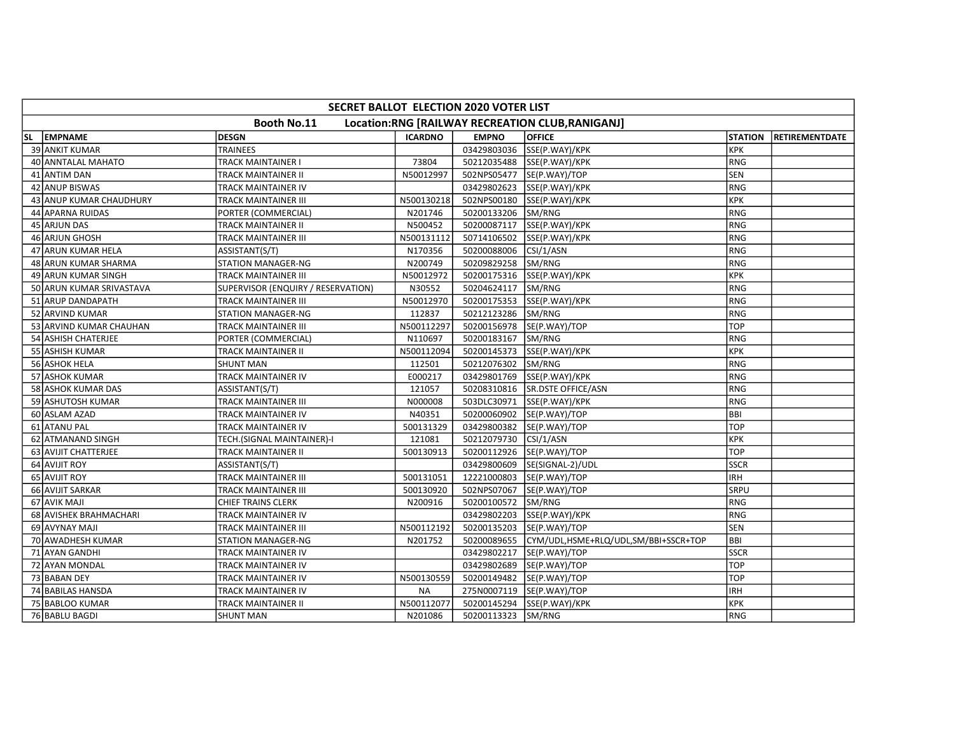|    | SECRET BALLOT ELECTION 2020 VOTER LIST                          |                                    |                |              |                                      |                |                       |  |  |  |  |
|----|-----------------------------------------------------------------|------------------------------------|----------------|--------------|--------------------------------------|----------------|-----------------------|--|--|--|--|
|    | Booth No.11<br>Location:RNG [RAILWAY RECREATION CLUB, RANIGANJ] |                                    |                |              |                                      |                |                       |  |  |  |  |
| SL | <b>EMPNAME</b>                                                  | <b>DESGN</b>                       | <b>ICARDNO</b> | <b>EMPNO</b> | <b>OFFICE</b>                        | <b>STATION</b> | <b>RETIREMENTDATE</b> |  |  |  |  |
|    | <b>39 ANKIT KUMAR</b>                                           | <b>TRAINEES</b>                    |                | 03429803036  | SSE(P.WAY)/KPK                       | Ікрк           |                       |  |  |  |  |
|    | 40 ANNTALAL MAHATO                                              | TRACK MAINTAINER I                 | 73804          |              | 50212035488 SSE(P.WAY)/KPK           | RNG            |                       |  |  |  |  |
|    | 41 ANTIM DAN                                                    | TRACK MAINTAINER II                | N50012997      | 502NPS05477  | SE(P.WAY)/TOP                        | <b>SEN</b>     |                       |  |  |  |  |
|    | 42 ANUP BISWAS                                                  | TRACK MAINTAINER IV                |                | 03429802623  | SSE(P.WAY)/KPK                       | RNG            |                       |  |  |  |  |
|    | 43 ANUP KUMAR CHAUDHURY                                         | <b>TRACK MAINTAINER III</b>        | N500130218     | 502NPS00180  | SSE(P.WAY)/KPK                       | Ікрк           |                       |  |  |  |  |
|    | 44 APARNA RUIDAS                                                | PORTER (COMMERCIAL)                | N201746        | 50200133206  | SM/RNG                               | RNG            |                       |  |  |  |  |
|    | 45 ARJUN DAS                                                    | <b>TRACK MAINTAINER II</b>         | N500452        | 50200087117  | SSE(P.WAY)/KPK                       | RNG            |                       |  |  |  |  |
|    | 46 ARJUN GHOSH                                                  | TRACK MAINTAINER III               | N500131112     | 50714106502  | SSE(P.WAY)/KPK                       | RNG            |                       |  |  |  |  |
|    | 47 ARUN KUMAR HELA                                              | ASSISTANT(S/T)                     | N170356        | 50200088006  | CSI/1/ASN                            | RNG            |                       |  |  |  |  |
|    | 48 ARUN KUMAR SHARMA                                            | <b>STATION MANAGER-NG</b>          | N200749        | 50209829258  | <b>SM/RNG</b>                        | IRNG           |                       |  |  |  |  |
|    | 49 ARUN KUMAR SINGH                                             | TRACK MAINTAINER III               | N50012972      | 50200175316  | SSE(P.WAY)/KPK                       | KPK            |                       |  |  |  |  |
|    | 50 ARUN KUMAR SRIVASTAVA                                        | SUPERVISOR (ENQUIRY / RESERVATION) | N30552         | 50204624117  | SM/RNG                               | <b>RNG</b>     |                       |  |  |  |  |
|    | 51 ARUP DANDAPATH                                               | TRACK MAINTAINER III               | N50012970      | 50200175353  | SSE(P.WAY)/KPK                       | RNG            |                       |  |  |  |  |
|    | 52 ARVIND KUMAR                                                 | <b>STATION MANAGER-NG</b>          | 112837         | 50212123286  | SM/RNG                               | RNG            |                       |  |  |  |  |
|    | 53 ARVIND KUMAR CHAUHAN                                         | <b>TRACK MAINTAINER III</b>        | N500112297     | 50200156978  | SE(P.WAY)/TOP                        | <b>TOP</b>     |                       |  |  |  |  |
|    | 54 ASHISH CHATERJEE                                             | PORTER (COMMERCIAL)                | N110697        | 50200183167  | SM/RNG                               | RNG            |                       |  |  |  |  |
|    | 55 ASHISH KUMAR                                                 | TRACK MAINTAINER II                | N500112094     | 50200145373  | SSE(P.WAY)/KPK                       | Ікрк           |                       |  |  |  |  |
|    | 56 ASHOK HELA                                                   | <b>SHUNT MAN</b>                   | 112501         | 50212076302  | SM/RNG                               | RNG            |                       |  |  |  |  |
|    | 57 ASHOK KUMAR                                                  | <b>TRACK MAINTAINER IV</b>         | E000217        | 03429801769  | SSE(P.WAY)/KPK                       | RNG            |                       |  |  |  |  |
|    | 58 ASHOK KUMAR DAS                                              | ASSISTANT(S/T)                     | 121057         | 50208310816  | SR.DSTE OFFICE/ASN                   | RNG            |                       |  |  |  |  |
|    | 59 ASHUTOSH KUMAR                                               | <b>TRACK MAINTAINER III</b>        | N000008        | 503DLC30971  | SSE(P.WAY)/KPK                       | RNG            |                       |  |  |  |  |
|    | 60 ASLAM AZAD                                                   | TRACK MAINTAINER IV                | N40351         | 50200060902  | SE(P.WAY)/TOP                        | BBI            |                       |  |  |  |  |
|    | 61 ATANU PAL                                                    | TRACK MAINTAINER IV                | 500131329      | 03429800382  | SE(P.WAY)/TOP                        | <b>TOP</b>     |                       |  |  |  |  |
|    | 62 ATMANAND SINGH                                               | TECH.(SIGNAL MAINTAINER)-I         | 121081         | 50212079730  | CSI/1/ASN                            | <b>KPK</b>     |                       |  |  |  |  |
|    | 63 AVIJIT CHATTERJEE                                            | <b>TRACK MAINTAINER II</b>         | 500130913      | 50200112926  | SE(P.WAY)/TOP                        | <b>TOP</b>     |                       |  |  |  |  |
|    | 64 AVIJIT ROY                                                   | ASSISTANT(S/T)                     |                | 03429800609  | SE(SIGNAL-2)/UDL                     | <b>SSCR</b>    |                       |  |  |  |  |
|    | 65 AVIJIT ROY                                                   | <b>TRACK MAINTAINER III</b>        | 500131051      | 12221000803  | SE(P.WAY)/TOP                        | <b>IRH</b>     |                       |  |  |  |  |
|    | 66 AVIJIT SARKAR                                                | TRACK MAINTAINER III               | 500130920      | 502NPS07067  | SE(P.WAY)/TOP                        | <b>SRPU</b>    |                       |  |  |  |  |
|    | 67 AVIK MAJI                                                    | <b>CHIEF TRAINS CLERK</b>          | N200916        | 50200100572  | SM/RNG                               | RNG            |                       |  |  |  |  |
|    | 68 AVISHEK BRAHMACHARI                                          | TRACK MAINTAINER IV                |                | 03429802203  | SSE(P.WAY)/KPK                       | RNG            |                       |  |  |  |  |
|    | 69 AVYNAY MAJI                                                  | TRACK MAINTAINER III               | N500112192     | 50200135203  | SE(P.WAY)/TOP                        | SEN            |                       |  |  |  |  |
|    | 70 AWADHESH KUMAR                                               | STATION MANAGER-NG                 | N201752        | 50200089655  | CYM/UDL,HSME+RLQ/UDL,SM/BBI+SSCR+TOP | BBI            |                       |  |  |  |  |
|    | 71 AYAN GANDHI                                                  | TRACK MAINTAINER IV                |                | 03429802217  | SE(P.WAY)/TOP                        | <b>SSCR</b>    |                       |  |  |  |  |
|    | 72 AYAN MONDAL                                                  | <b>TRACK MAINTAINER IV</b>         |                | 03429802689  | SE(P.WAY)/TOP                        | <b>TOP</b>     |                       |  |  |  |  |
|    | 73 BABAN DEY                                                    | TRACK MAINTAINER IV                | N500130559     | 50200149482  | SE(P.WAY)/TOP                        | <b>TOP</b>     |                       |  |  |  |  |
|    | 74 BABILAS HANSDA                                               | TRACK MAINTAINER IV                | <b>NA</b>      | 275N0007119  | SE(P.WAY)/TOP                        | <b>IRH</b>     |                       |  |  |  |  |
|    | 75 BABLOO KUMAR                                                 | TRACK MAINTAINER II                | N500112077     | 50200145294  | SSE(P.WAY)/KPK                       | <b>KPK</b>     |                       |  |  |  |  |
|    | 76 BABLU BAGDI                                                  | <b>SHUNT MAN</b>                   | N201086        | 50200113323  | SM/RNG                               | RNG            |                       |  |  |  |  |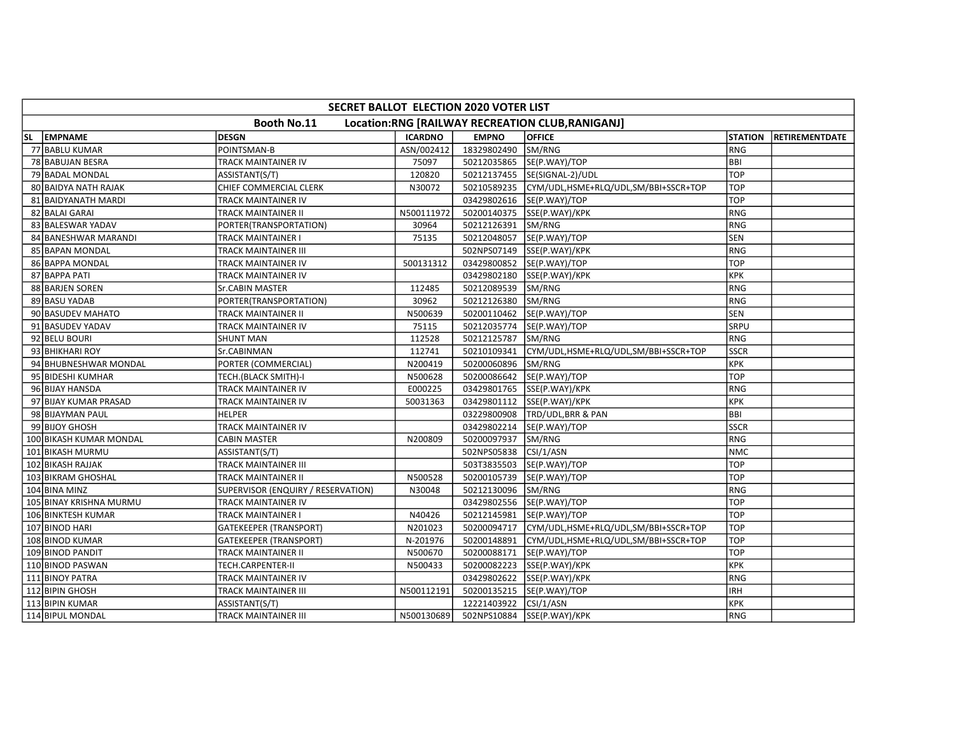|    | SECRET BALLOT ELECTION 2020 VOTER LIST                          |                                    |                |              |                                      |                |                       |  |  |  |  |
|----|-----------------------------------------------------------------|------------------------------------|----------------|--------------|--------------------------------------|----------------|-----------------------|--|--|--|--|
|    | Booth No.11<br>Location:RNG [RAILWAY RECREATION CLUB, RANIGANJ] |                                    |                |              |                                      |                |                       |  |  |  |  |
| SL | <b>EMPNAME</b>                                                  | DESGN                              | <b>ICARDNO</b> | <b>EMPNO</b> | <b>OFFICE</b>                        | <b>STATION</b> | <b>RETIREMENTDATE</b> |  |  |  |  |
|    | 77 BABLU KUMAR                                                  | POINTSMAN-B                        | ASN/002412     | 18329802490  | SM/RNG                               | RNG            |                       |  |  |  |  |
|    | 78 BABUJAN BESRA                                                | TRACK MAINTAINER IV                | 75097          | 50212035865  | SE(P.WAY)/TOP                        | <b>BBI</b>     |                       |  |  |  |  |
|    | 79 BADAL MONDAL                                                 | ASSISTANT(S/T)                     | 120820         | 50212137455  | SE(SIGNAL-2)/UDL                     | <b>TOP</b>     |                       |  |  |  |  |
|    | 80 BAIDYA NATH RAJAK                                            | CHIEF COMMERCIAL CLERK             | N30072         | 50210589235  | CYM/UDL,HSME+RLQ/UDL,SM/BBI+SSCR+TOP | TOP            |                       |  |  |  |  |
|    | 81 BAIDYANATH MARDI                                             | <b>TRACK MAINTAINER IV</b>         |                | 03429802616  | SE(P.WAY)/TOP                        | <b>TOP</b>     |                       |  |  |  |  |
|    | 82 BALAI GARAI                                                  | TRACK MAINTAINER II                | N500111972     | 50200140375  | SSE(P.WAY)/KPK                       | RNG            |                       |  |  |  |  |
|    | 83 BALESWAR YADAV                                               | PORTER(TRANSPORTATION)             | 30964          | 50212126391  | SM/RNG                               | RNG            |                       |  |  |  |  |
|    | 84 BANESHWAR MARANDI                                            | TRACK MAINTAINER I                 | 75135          | 50212048057  | SE(P.WAY)/TOP                        | SEN            |                       |  |  |  |  |
|    | 85 BAPAN MONDAL                                                 | TRACK MAINTAINER III               |                | 502NPS07149  | SSE(P.WAY)/KPK                       | RNG            |                       |  |  |  |  |
|    | 86 BAPPA MONDAL                                                 | TRACK MAINTAINER IV                | 500131312      |              | 03429800852 SE(P.WAY)/TOP            | <b>TOP</b>     |                       |  |  |  |  |
|    | 87 BAPPA PATI                                                   | TRACK MAINTAINER IV                |                | 03429802180  | SSE(P.WAY)/KPK                       | <b>KPK</b>     |                       |  |  |  |  |
|    | 88 BARJEN SOREN                                                 | <b>Sr.CABIN MASTER</b>             | 112485         | 50212089539  | SM/RNG                               | RNG            |                       |  |  |  |  |
|    | 89 BASU YADAB                                                   | PORTER(TRANSPORTATION)             | 30962          | 50212126380  | SM/RNG                               | <b>RNG</b>     |                       |  |  |  |  |
|    | 90 BASUDEV MAHATO                                               | TRACK MAINTAINER II                | N500639        | 50200110462  | SE(P.WAY)/TOP                        | <b>SEN</b>     |                       |  |  |  |  |
|    | 91 BASUDEV YADAV                                                | TRACK MAINTAINER IV                | 75115          | 50212035774  | SE(P.WAY)/TOP                        | <b>SRPU</b>    |                       |  |  |  |  |
|    | 92 BELU BOURI                                                   | <b>SHUNT MAN</b>                   | 112528         | 50212125787  | SM/RNG                               | RNG            |                       |  |  |  |  |
|    | 93 BHIKHARI ROY                                                 | Sr.CABINMAN                        | 112741         | 50210109341  | CYM/UDL,HSME+RLQ/UDL,SM/BBI+SSCR+TOP | <b>SSCR</b>    |                       |  |  |  |  |
|    | 94 BHUBNESHWAR MONDAL                                           | PORTER (COMMERCIAL)                | N200419        | 50200060896  | SM/RNG                               | <b>KPK</b>     |                       |  |  |  |  |
|    | 95 BIDESHI KUMHAR                                               | TECH.(BLACK SMITH)-I               | N500628        | 50200086642  | SE(P.WAY)/TOP                        | <b>TOP</b>     |                       |  |  |  |  |
|    | 96 BIJAY HANSDA                                                 | TRACK MAINTAINER IV                | E000225        | 03429801765  | SSE(P.WAY)/KPK                       | <b>RNG</b>     |                       |  |  |  |  |
|    | 97 BIJAY KUMAR PRASAD                                           | TRACK MAINTAINER IV                | 50031363       |              | 03429801112 SSE(P.WAY)/KPK           | KPK            |                       |  |  |  |  |
|    | 98 BIJAYMAN PAUL                                                | HELPER                             |                | 03229800908  | TRD/UDL, BRR & PAN                   | <b>BBI</b>     |                       |  |  |  |  |
|    | 99 BIJOY GHOSH                                                  | TRACK MAINTAINER IV                |                | 03429802214  | SE(P.WAY)/TOP                        | <b>SSCR</b>    |                       |  |  |  |  |
|    | 100 BIKASH KUMAR MONDAL                                         | <b>CABIN MASTER</b>                | N200809        | 50200097937  | SM/RNG                               | RNG            |                       |  |  |  |  |
|    | 101 BIKASH MURMU                                                | ASSISTANT(S/T)                     |                | 502NPS05838  | $\left $ CSI/1/ASN                   | <b>NMC</b>     |                       |  |  |  |  |
|    | 102 BIKASH RAJJAK                                               | TRACK MAINTAINER III               |                | 503T3835503  | SE(P.WAY)/TOP                        | <b>TOP</b>     |                       |  |  |  |  |
|    | 103 BIKRAM GHOSHAL                                              | TRACK MAINTAINER II                | N500528        | 50200105739  | SE(P.WAY)/TOP                        | <b>TOP</b>     |                       |  |  |  |  |
|    | 104 BINA MINZ                                                   | SUPERVISOR (ENQUIRY / RESERVATION) | N30048         | 50212130096  | SM/RNG                               | <b>RNG</b>     |                       |  |  |  |  |
|    | 105 BINAY KRISHNA MURMU                                         | TRACK MAINTAINER IV                |                | 03429802556  | SE(P.WAY)/TOP                        | <b>TOP</b>     |                       |  |  |  |  |
|    | 106 BINKTESH KUMAR                                              | TRACK MAINTAINER I                 | N40426         | 50212145981  | SE(P.WAY)/TOP                        | <b>TOP</b>     |                       |  |  |  |  |
|    | 107 BINOD HARI                                                  | <b>GATEKEEPER (TRANSPORT)</b>      | N201023        | 50200094717  | CYM/UDL,HSME+RLQ/UDL,SM/BBI+SSCR+TOP | <b>TOP</b>     |                       |  |  |  |  |
|    | 108 BINOD KUMAR                                                 | <b>GATEKEEPER (TRANSPORT)</b>      | N-201976       | 50200148891  | CYM/UDL,HSME+RLQ/UDL,SM/BBI+SSCR+TOP | <b>TOP</b>     |                       |  |  |  |  |
|    | 109 BINOD PANDIT                                                | TRACK MAINTAINER II                | N500670        | 50200088171  | SE(P.WAY)/TOP                        | TOP            |                       |  |  |  |  |
|    | 110 BINOD PASWAN                                                | TECH.CARPENTER-II                  | N500433        | 50200082223  | SSE(P.WAY)/KPK                       | <b>KPK</b>     |                       |  |  |  |  |
|    | 111 BINOY PATRA                                                 | TRACK MAINTAINER IV                |                | 03429802622  | SSE(P.WAY)/KPK                       | RNG            |                       |  |  |  |  |
|    | 112 BIPIN GHOSH                                                 | TRACK MAINTAINER III               | N500112191     | 50200135215  | SE(P.WAY)/TOP                        | <b>IRH</b>     |                       |  |  |  |  |
|    | 113 BIPIN KUMAR                                                 | ASSISTANT(S/T)                     |                | 12221403922  | CSI/1/ASN                            | <b>KPK</b>     |                       |  |  |  |  |
|    | 114 BIPUL MONDAL                                                | TRACK MAINTAINER III               | N500130689     | 502NPS10884  | SSE(P.WAY)/KPK                       | RNG            |                       |  |  |  |  |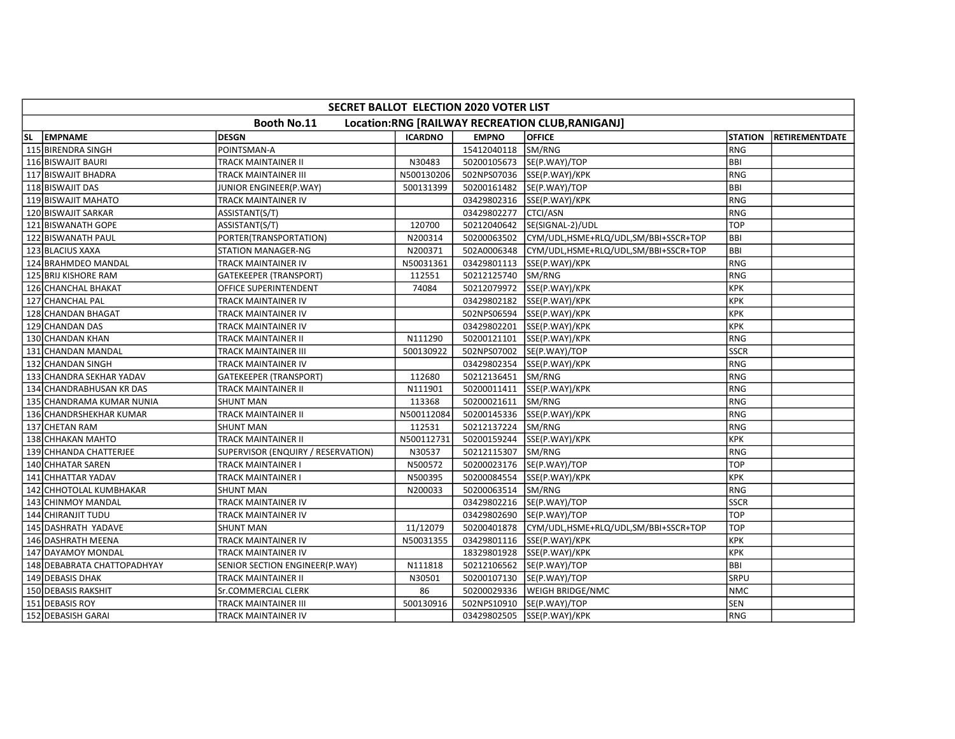|           | SECRET BALLOT ELECTION 2020 VOTER LIST                          |                                    |                |                    |                                      |                |                       |  |  |  |  |
|-----------|-----------------------------------------------------------------|------------------------------------|----------------|--------------------|--------------------------------------|----------------|-----------------------|--|--|--|--|
|           | Booth No.11<br>Location:RNG [RAILWAY RECREATION CLUB, RANIGANJ] |                                    |                |                    |                                      |                |                       |  |  |  |  |
| <b>SL</b> | <b>EMPNAME</b>                                                  | DESGN                              | <b>ICARDNO</b> | <b>EMPNO</b>       | <b>OFFICE</b>                        | <b>STATION</b> | <b>RETIREMENTDATE</b> |  |  |  |  |
|           | 115 BIRENDRA SINGH                                              | POINTSMAN-A                        |                | 15412040118        | SM/RNG                               | RNG            |                       |  |  |  |  |
|           | 116 BISWAJIT BAURI                                              | TRACK MAINTAINER II                | N30483         |                    | 50200105673  SE(P.WAY)/TOP           | <b>BBI</b>     |                       |  |  |  |  |
|           | 117 BISWAJIT BHADRA                                             | TRACK MAINTAINER III               | N500130206     | 502NPS07036        | SSE(P.WAY)/KPK                       | <b>RNG</b>     |                       |  |  |  |  |
|           | 118 BISWAJIT DAS                                                | JUNIOR ENGINEER(P.WAY)             | 500131399      | 50200161482        | SE(P.WAY)/TOP                        | <b>BBI</b>     |                       |  |  |  |  |
|           | 119 BISWAJIT MAHATO                                             | TRACK MAINTAINER IV                |                | 03429802316        | SSE(P.WAY)/KPK                       | RNG            |                       |  |  |  |  |
|           | 120 BISWAJIT SARKAR                                             | ASSISTANT(S/T)                     |                | 03429802277        | CTCI/ASN                             | RNG            |                       |  |  |  |  |
|           | 121 BISWANATH GOPE                                              | ASSISTANT(S/T)                     | 120700         | 50212040642        | SE(SIGNAL-2)/UDL                     | <b>TOP</b>     |                       |  |  |  |  |
|           | 122 BISWANATH PAUL                                              | PORTER(TRANSPORTATION)             | N200314        | 50200063502        | CYM/UDL,HSME+RLQ/UDL,SM/BBI+SSCR+TOP | <b>BBI</b>     |                       |  |  |  |  |
|           | 123 BLACIUS XAXA                                                | <b>STATION MANAGER-NG</b>          | N200371        | 502A0006348        | CYM/UDL,HSME+RLQ/UDL,SM/BBI+SSCR+TOP | <b>BBI</b>     |                       |  |  |  |  |
|           | 124 BRAHMDEO MANDAL                                             | TRACK MAINTAINER IV                | N50031361      | 03429801113        | SSE(P.WAY)/KPK                       | RNG            |                       |  |  |  |  |
|           | 125 BRIJ KISHORE RAM                                            | GATEKEEPER (TRANSPORT)             | 112551         | 50212125740        | SM/RNG                               | RNG            |                       |  |  |  |  |
|           | 126 CHANCHAL BHAKAT                                             | OFFICE SUPERINTENDENT              | 74084          | 50212079972        | SSE(P.WAY)/KPK                       | <b>KPK</b>     |                       |  |  |  |  |
|           | 127 CHANCHAL PAL                                                | TRACK MAINTAINER IV                |                | 03429802182        | SSE(P.WAY)/KPK                       | <b>KPK</b>     |                       |  |  |  |  |
|           | 128 CHANDAN BHAGAT                                              | TRACK MAINTAINER IV                |                | 502NPS06594        | SSE(P.WAY)/KPK                       | <b>KPK</b>     |                       |  |  |  |  |
|           | 129 CHANDAN DAS                                                 | TRACK MAINTAINER IV                |                |                    | 03429802201 SSE(P.WAY)/KPK           | <b>KPK</b>     |                       |  |  |  |  |
|           | 130 CHANDAN KHAN                                                | TRACK MAINTAINER II                | N111290        | 50200121101        | SSE(P.WAY)/KPK                       | <b>RNG</b>     |                       |  |  |  |  |
|           | 131 CHANDAN MANDAL                                              | TRACK MAINTAINER III               | 500130922      | 502NPS07002        | SE(P.WAY)/TOP                        | <b>SSCR</b>    |                       |  |  |  |  |
|           | 132 CHANDAN SINGH                                               | TRACK MAINTAINER IV                |                | 03429802354        | SSE(P.WAY)/KPK                       | <b>RNG</b>     |                       |  |  |  |  |
|           | 133 CHANDRA SEKHAR YADAV                                        | <b>GATEKEEPER (TRANSPORT)</b>      | 112680         | 50212136451 SM/RNG |                                      | RNG            |                       |  |  |  |  |
|           | 134 CHANDRABHUSAN KR DAS                                        | TRACK MAINTAINER II                | N111901        |                    | 50200011411  SSE(P.WAY)/KPK          | <b>RNG</b>     |                       |  |  |  |  |
|           | 135 CHANDRAMA KUMAR NUNIA                                       | <b>SHUNT MAN</b>                   | 113368         | 50200021611        | SM/RNG                               | RNG            |                       |  |  |  |  |
|           | 136 CHANDRSHEKHAR KUMAR                                         | TRACK MAINTAINER II                | N500112084     | 50200145336        | SSE(P.WAY)/KPK                       | RNG            |                       |  |  |  |  |
|           | 137 CHETAN RAM                                                  | <b>SHUNT MAN</b>                   | 112531         | 50212137224        | SM/RNG                               | <b>RNG</b>     |                       |  |  |  |  |
|           | 138 CHHAKAN MAHTO                                               | TRACK MAINTAINER II                | N500112731     | 50200159244        | SSE(P.WAY)/KPK                       | <b>KPK</b>     |                       |  |  |  |  |
|           | 139 CHHANDA CHATTERJEE                                          | SUPERVISOR (ENQUIRY / RESERVATION) | N30537         | 50212115307        | SM/RNG                               | RNG            |                       |  |  |  |  |
|           | 140 CHHATAR SAREN                                               | TRACK MAINTAINER I                 | N500572        | 50200023176        | SE(P.WAY)/TOP                        | <b>TOP</b>     |                       |  |  |  |  |
|           | 141 CHHATTAR YADAV                                              | TRACK MAINTAINER I                 | N500395        | 50200084554        | SSE(P.WAY)/KPK                       | <b>KPK</b>     |                       |  |  |  |  |
|           | 142 CHHOTOLAL KUMBHAKAR                                         | <b>SHUNT MAN</b>                   | N200033        | 50200063514        | SM/RNG                               | <b>RNG</b>     |                       |  |  |  |  |
|           | 143 CHINMOY MANDAL                                              | TRACK MAINTAINER IV                |                | 03429802216        | SE(P.WAY)/TOP                        | <b>SSCR</b>    |                       |  |  |  |  |
|           | 144 CHIRANJIT TUDU                                              | TRACK MAINTAINER IV                |                |                    | 03429802690 SE(P.WAY)/TOP            | <b>TOP</b>     |                       |  |  |  |  |
|           | 145 DASHRATH YADAVE                                             | <b>SHUNT MAN</b>                   | 11/12079       | 50200401878        | CYM/UDL,HSME+RLQ/UDL,SM/BBI+SSCR+TOP | TOP            |                       |  |  |  |  |
|           | 146 DASHRATH MEENA                                              | TRACK MAINTAINER IV                | N50031355      | 03429801116        | SSE(P.WAY)/KPK                       | <b>KPK</b>     |                       |  |  |  |  |
|           | 147 DAYAMOY MONDAL                                              | TRACK MAINTAINER IV                |                | 18329801928        | SSE(P.WAY)/KPK                       | <b>KPK</b>     |                       |  |  |  |  |
|           | 148 DEBABRATA CHATTOPADHYAY                                     | SENIOR SECTION ENGINEER(P.WAY)     | N111818        |                    | 50212106562 SE(P.WAY)/TOP            | <b>BBI</b>     |                       |  |  |  |  |
|           | 149 DEBASIS DHAK                                                | TRACK MAINTAINER II                | N30501         | 50200107130        | SE(P.WAY)/TOP                        | <b>SRPU</b>    |                       |  |  |  |  |
|           | 150 DEBASIS RAKSHIT                                             | <b>Sr.COMMERCIAL CLERK</b>         | 86             | 50200029336        | WEIGH BRIDGE/NMC                     | <b>NMC</b>     |                       |  |  |  |  |
|           | 151 DEBASIS ROY                                                 | TRACK MAINTAINER III               | 500130916      |                    | 502NPS10910  SE(P.WAY)/TOP           | <b>SEN</b>     |                       |  |  |  |  |
|           | 152 DEBASISH GARAI                                              | TRACK MAINTAINER IV                |                |                    | 03429802505 SSE(P.WAY)/KPK           | RNG            |                       |  |  |  |  |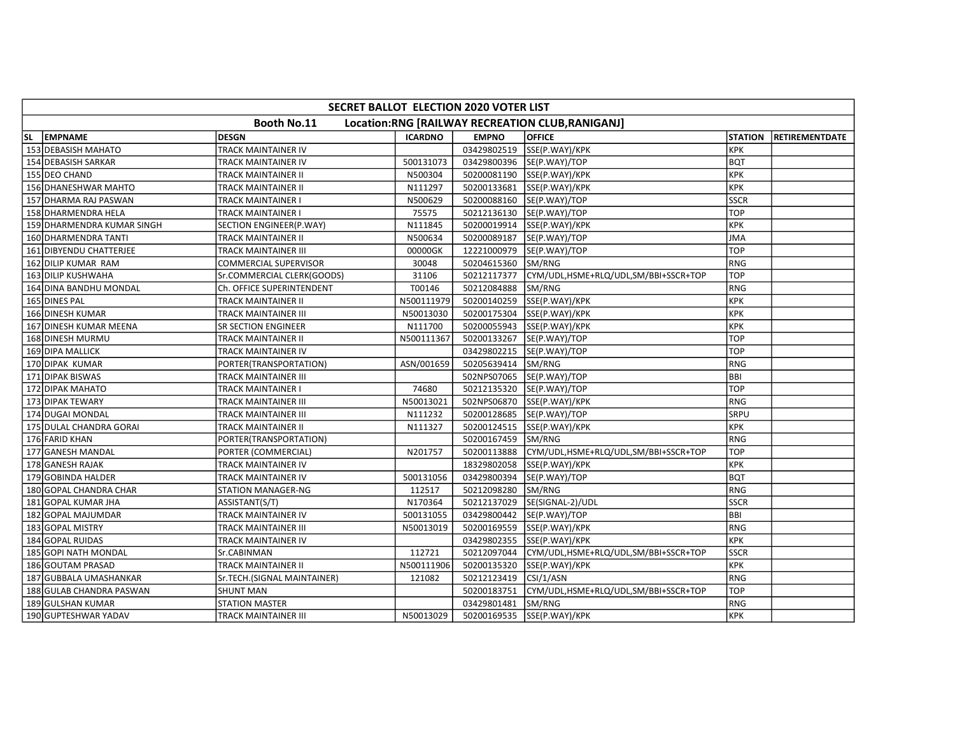|           | SECRET BALLOT ELECTION 2020 VOTER LIST                          |                              |                |              |                                      |                |                       |  |  |  |
|-----------|-----------------------------------------------------------------|------------------------------|----------------|--------------|--------------------------------------|----------------|-----------------------|--|--|--|
|           | Booth No.11<br>Location:RNG [RAILWAY RECREATION CLUB, RANIGANJ] |                              |                |              |                                      |                |                       |  |  |  |
| <b>SL</b> | <b>EMPNAME</b>                                                  | DESGN                        | <b>ICARDNO</b> | <b>EMPNO</b> | <b>OFFICE</b>                        | <b>STATION</b> | <b>RETIREMENTDATE</b> |  |  |  |
|           | 153 DEBASISH MAHATO                                             | TRACK MAINTAINER IV          |                | 03429802519  | SSE(P.WAY)/KPK                       | <b>KPK</b>     |                       |  |  |  |
|           | 154 DEBASISH SARKAR                                             | TRACK MAINTAINER IV          | 500131073      |              | 03429800396 SE(P.WAY)/TOP            | <b>BQT</b>     |                       |  |  |  |
|           | 155 DEO CHAND                                                   | TRACK MAINTAINER II          | N500304        | 50200081190  | SSE(P.WAY)/KPK                       | <b>KPK</b>     |                       |  |  |  |
|           | 156 DHANESHWAR MAHTO                                            | TRACK MAINTAINER II          | N111297        | 50200133681  | SSE(P.WAY)/KPK                       | <b>KPK</b>     |                       |  |  |  |
|           | 157 DHARMA RAJ PASWAN                                           | TRACK MAINTAINER I           | N500629        | 50200088160  | SE(P.WAY)/TOP                        | <b>SSCR</b>    |                       |  |  |  |
|           | 158 DHARMENDRA HELA                                             | TRACK MAINTAINER I           | 75575          | 50212136130  | SE(P.WAY)/TOP                        | <b>TOP</b>     |                       |  |  |  |
|           | 159 DHARMENDRA KUMAR SINGH                                      | SECTION ENGINEER(P.WAY)      | N111845        | 50200019914  | SSE(P.WAY)/KPK                       | <b>KPK</b>     |                       |  |  |  |
|           | 160 DHARMENDRA TANTI                                            | TRACK MAINTAINER II          | N500634        | 50200089187  | SE(P.WAY)/TOP                        | <b>JMA</b>     |                       |  |  |  |
|           | 161 DIBYENDU CHATTERJEE                                         | TRACK MAINTAINER III         | 00000GK        | 12221000979  | SE(P.WAY)/TOP                        | <b>TOP</b>     |                       |  |  |  |
|           | 162 DILIP KUMAR RAM                                             | <b>COMMERCIAL SUPERVISOR</b> | 30048          | 50204615360  | <b>SM/RNG</b>                        | RNG            |                       |  |  |  |
|           | 163 DILIP KUSHWAHA                                              | Sr.COMMERCIAL CLERK(GOODS)   | 31106          | 50212117377  | CYM/UDL,HSME+RLQ/UDL,SM/BBI+SSCR+TOP | TOP            |                       |  |  |  |
|           | 164 DINA BANDHU MONDAL                                          | Ch. OFFICE SUPERINTENDENT    | T00146         | 50212084888  | SM/RNG                               | <b>RNG</b>     |                       |  |  |  |
|           | 165 DINES PAL                                                   | TRACK MAINTAINER II          | N500111979     | 50200140259  | SSE(P.WAY)/KPK                       | KPK            |                       |  |  |  |
|           | 166 DINESH KUMAR                                                | TRACK MAINTAINER III         | N50013030      | 50200175304  | SSE(P.WAY)/KPK                       | <b>KPK</b>     |                       |  |  |  |
|           | 167 DINESH KUMAR MEENA                                          | <b>SR SECTION ENGINEER</b>   | N111700        | 50200055943  | SSE(P.WAY)/KPK                       | <b>KPK</b>     |                       |  |  |  |
|           | 168 DINESH MURMU                                                | TRACK MAINTAINER II          | N500111367     | 50200133267  | SE(P.WAY)/TOP                        | TOP            |                       |  |  |  |
|           | 169 DIPA MALLICK                                                | TRACK MAINTAINER IV          |                | 03429802215  | SE(P.WAY)/TOP                        | <b>TOP</b>     |                       |  |  |  |
|           | 170 DIPAK KUMAR                                                 | PORTER(TRANSPORTATION)       | ASN/001659     | 50205639414  | SM/RNG                               | <b>RNG</b>     |                       |  |  |  |
|           | 171 DIPAK BISWAS                                                | TRACK MAINTAINER III         |                |              | 502NPS07065  SE(P.WAY)/TOP           | <b>BBI</b>     |                       |  |  |  |
|           | 172 DIPAK MAHATO                                                | TRACK MAINTAINER I           | 74680          |              | 50212135320 SE(P.WAY)/TOP            | <b>TOP</b>     |                       |  |  |  |
|           | 173 DIPAK TEWARY                                                | TRACK MAINTAINER III         | N50013021      |              | 502NPS06870 SSE(P.WAY)/KPK           | <b>RNG</b>     |                       |  |  |  |
|           | 174 DUGAI MONDAL                                                | TRACK MAINTAINER III         | N111232        | 50200128685  | SE(P.WAY)/TOP                        | <b>SRPU</b>    |                       |  |  |  |
|           | 175 DULAL CHANDRA GORAI                                         | TRACK MAINTAINER II          | N111327        | 50200124515  | SSE(P.WAY)/KPK                       | <b>KPK</b>     |                       |  |  |  |
|           | 176 FARID KHAN                                                  | PORTER(TRANSPORTATION)       |                | 50200167459  | SM/RNG                               | RNG            |                       |  |  |  |
|           | 177 GANESH MANDAL                                               | PORTER (COMMERCIAL)          | N201757        | 50200113888  | CYM/UDL,HSME+RLQ/UDL,SM/BBI+SSCR+TOP | <b>TOP</b>     |                       |  |  |  |
|           | 178 GANESH RAJAK                                                | TRACK MAINTAINER IV          |                | 18329802058  | SSE(P.WAY)/KPK                       | KPK            |                       |  |  |  |
|           | 179 GOBINDA HALDER                                              | TRACK MAINTAINER IV          | 500131056      | 03429800394  | SE(P.WAY)/TOP                        | <b>BOT</b>     |                       |  |  |  |
|           | 180 GOPAL CHANDRA CHAR                                          | <b>STATION MANAGER-NG</b>    | 112517         | 50212098280  | SM/RNG                               | <b>RNG</b>     |                       |  |  |  |
|           | 181 GOPAL KUMAR JHA                                             | ASSISTANT(S/T)               | N170364        | 50212137029  | SE(SIGNAL-2)/UDL                     | <b>SSCR</b>    |                       |  |  |  |
|           | 182 GOPAL MAJUMDAR                                              | TRACK MAINTAINER IV          | 500131055      | 03429800442  | SE(P.WAY)/TOP                        | BBI            |                       |  |  |  |
|           | 183 GOPAL MISTRY                                                | TRACK MAINTAINER III         | N50013019      | 50200169559  | SSE(P.WAY)/KPK                       | RNG            |                       |  |  |  |
|           | 184 GOPAL RUIDAS                                                | TRACK MAINTAINER IV          |                | 03429802355  | SSE(P.WAY)/KPK                       | KPK            |                       |  |  |  |
|           | 185 GOPI NATH MONDAL                                            | Sr.CABINMAN                  | 112721         | 50212097044  | CYM/UDL,HSME+RLQ/UDL,SM/BBI+SSCR+TOP | <b>SSCR</b>    |                       |  |  |  |
|           | 186 GOUTAM PRASAD                                               | TRACK MAINTAINER II          | N500111906     | 50200135320  | SSE(P.WAY)/KPK                       | KPK            |                       |  |  |  |
|           | 187 GUBBALA UMASHANKAR                                          | Sr.TECH.(SIGNAL MAINTAINER)  | 121082         | 50212123419  | CSI/1/ASN                            | RNG            |                       |  |  |  |
|           | 188 GULAB CHANDRA PASWAN                                        | <b>SHUNT MAN</b>             |                | 50200183751  | CYM/UDL,HSME+RLQ/UDL,SM/BBI+SSCR+TOP | <b>TOP</b>     |                       |  |  |  |
|           | 189 GULSHAN KUMAR                                               | <b>STATION MASTER</b>        |                | 03429801481  | SM/RNG                               | <b>RNG</b>     |                       |  |  |  |
|           | 190 GUPTESHWAR YADAV                                            | TRACK MAINTAINER III         | N50013029      |              | 50200169535 SSE(P.WAY)/KPK           | <b>KPK</b>     |                       |  |  |  |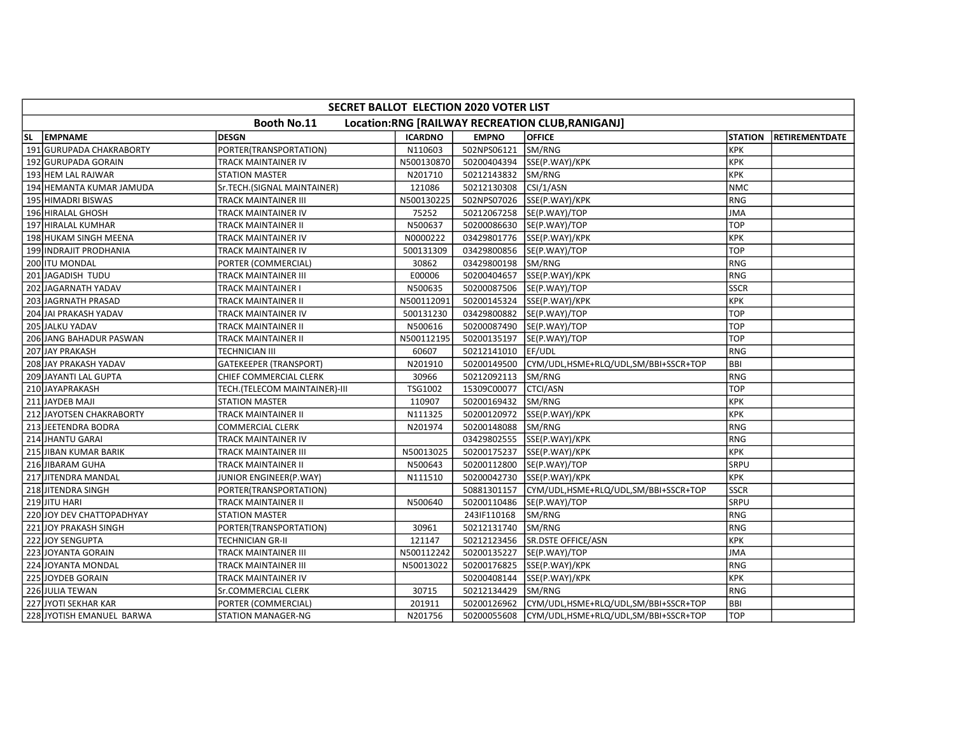|           | SECRET BALLOT ELECTION 2020 VOTER LIST                          |                               |                |              |                                      |                |                       |  |  |  |
|-----------|-----------------------------------------------------------------|-------------------------------|----------------|--------------|--------------------------------------|----------------|-----------------------|--|--|--|
|           | Booth No.11<br>Location:RNG [RAILWAY RECREATION CLUB, RANIGANJ] |                               |                |              |                                      |                |                       |  |  |  |
| <b>SL</b> | <b>EMPNAME</b>                                                  | <b>DESGN</b>                  | <b>ICARDNO</b> | <b>EMPNO</b> | <b>OFFICE</b>                        | <b>STATION</b> | <b>RETIREMENTDATE</b> |  |  |  |
|           | 191 GURUPADA CHAKRABORTY                                        | PORTER(TRANSPORTATION)        | N110603        | 502NPS06121  | SM/RNG                               | Ікрк           |                       |  |  |  |
|           | 192 GURUPADA GORAIN                                             | TRACK MAINTAINER IV           | N500130870     | 50200404394  | SSE(P.WAY)/KPK                       | KPK            |                       |  |  |  |
|           | 193 HEM LAL RAJWAR                                              | <b>STATION MASTER</b>         | N201710        | 50212143832  | SM/RNG                               | KPK            |                       |  |  |  |
|           | 194 HEMANTA KUMAR JAMUDA                                        | Sr.TECH.(SIGNAL MAINTAINER)   | 121086         | 50212130308  | CSI/1/ASN                            | NMC            |                       |  |  |  |
|           | 195 HIMADRI BISWAS                                              | <b>TRACK MAINTAINER III</b>   | N500130225     | 502NPS07026  | SSE(P.WAY)/KPK                       | RNG            |                       |  |  |  |
|           | 196 HIRALAL GHOSH                                               | TRACK MAINTAINER IV           | 75252          | 50212067258  | SE(P.WAY)/TOP                        | JMA            |                       |  |  |  |
|           | 197 HIRALAL KUMHAR                                              | TRACK MAINTAINER II           | N500637        | 50200086630  | SE(P.WAY)/TOP                        | <b>TOP</b>     |                       |  |  |  |
|           | 198 HUKAM SINGH MEENA                                           | TRACK MAINTAINER IV           | N0000222       | 03429801776  | SSE(P.WAY)/KPK                       | KPK            |                       |  |  |  |
|           | 199 INDRAJIT PRODHANIA                                          | TRACK MAINTAINER IV           | 500131309      | 03429800856  | SE(P.WAY)/TOP                        | <b>TOP</b>     |                       |  |  |  |
|           | 200 ITU MONDAL                                                  | PORTER (COMMERCIAL)           | 30862          | 03429800198  | <b>SM/RNG</b>                        | IRNG           |                       |  |  |  |
|           | 201 JAGADISH TUDU                                               | TRACK MAINTAINER III          | E00006         | 50200404657  | SSE(P.WAY)/KPK                       | RNG            |                       |  |  |  |
|           | 202 JAGARNATH YADAV                                             | TRACK MAINTAINER I            | N500635        | 50200087506  | SE(P.WAY)/TOP                        | <b>SSCR</b>    |                       |  |  |  |
|           | 203 JAGRNATH PRASAD                                             | TRACK MAINTAINER II           | N500112091     | 50200145324  | SSE(P.WAY)/KPK                       | KPK            |                       |  |  |  |
|           | 204 JAI PRAKASH YADAV                                           | TRACK MAINTAINER IV           | 500131230      | 03429800882  | SE(P.WAY)/TOP                        | <b>TOP</b>     |                       |  |  |  |
|           | 205 JALKU YADAV                                                 | TRACK MAINTAINER II           | N500616        | 50200087490  | SE(P.WAY)/TOP                        | <b>TOP</b>     |                       |  |  |  |
|           | 206 JANG BAHADUR PASWAN                                         | TRACK MAINTAINER II           | N500112195     | 50200135197  | SE(P.WAY)/TOP                        | <b>TOP</b>     |                       |  |  |  |
|           | 207 JAY PRAKASH                                                 | TECHNICIAN III                | 60607          | 50212141010  | EF/UDL                               | l RNG          |                       |  |  |  |
|           | 208 JAY PRAKASH YADAV                                           | GATEKEEPER (TRANSPORT)        | N201910        | 50200149500  | CYM/UDL,HSME+RLQ/UDL,SM/BBI+SSCR+TOP | BBI            |                       |  |  |  |
|           | 209 JAYANTI LAL GUPTA                                           | CHIEF COMMERCIAL CLERK        | 30966          | 50212092113  | SM/RNG                               | RNG            |                       |  |  |  |
|           | 210 JAYAPRAKASH                                                 | TECH.(TELECOM MAINTAINER)-III | TSG1002        | 15309C00077  | <b>CTCI/ASN</b>                      | <b>TOP</b>     |                       |  |  |  |
|           | 211 JAYDEB MAJI                                                 | <b>STATION MASTER</b>         | 110907         | 50200169432  | SM/RNG                               | KPK            |                       |  |  |  |
|           | 212 JAYOTSEN CHAKRABORTY                                        | TRACK MAINTAINER II           | N111325        | 50200120972  | SSE(P.WAY)/KPK                       | KPK            |                       |  |  |  |
|           | 213 JEETENDRA BODRA                                             | COMMERCIAL CLERK              | N201974        | 50200148088  | SM/RNG                               | RNG            |                       |  |  |  |
|           | 214 JHANTU GARAI                                                | TRACK MAINTAINER IV           |                | 03429802555  | SSE(P.WAY)/KPK                       | RNG            |                       |  |  |  |
|           | 215 JIBAN KUMAR BARIK                                           | TRACK MAINTAINER III          | N50013025      | 50200175237  | SSE(P.WAY)/KPK                       | KPK            |                       |  |  |  |
|           | 216 JIBARAM GUHA                                                | TRACK MAINTAINER II           | N500643        | 50200112800  | SE(P.WAY)/TOP                        | <b>SRPU</b>    |                       |  |  |  |
|           | 217 JITENDRA MANDAL                                             | JUNIOR ENGINEER(P.WAY)        | N111510        | 50200042730  | SSE(P.WAY)/KPK                       | Ікрк           |                       |  |  |  |
|           | 218 JITENDRA SINGH                                              | PORTER(TRANSPORTATION)        |                | 50881301157  | CYM/UDL,HSME+RLQ/UDL,SM/BBI+SSCR+TOP | <b>SSCR</b>    |                       |  |  |  |
|           | 219 JITU HARI                                                   | TRACK MAINTAINER II           | N500640        | 50200110486  | SE(P.WAY)/TOP                        | SRPU           |                       |  |  |  |
|           | 220 JOY DEV CHATTOPADHYAY                                       | <b>STATION MASTER</b>         |                | 243IF110168  | SM/RNG                               | RNG            |                       |  |  |  |
|           | 221 JOY PRAKASH SINGH                                           | PORTER(TRANSPORTATION)        | 30961          | 50212131740  | SM/RNG                               | RNG            |                       |  |  |  |
|           | 222 JOY SENGUPTA                                                | TECHNICIAN GR-II              | 121147         | 50212123456  | SR.DSTE OFFICE/ASN                   | KPK            |                       |  |  |  |
|           | 223 JOYANTA GORAIN                                              | TRACK MAINTAINER III          | N500112242     | 50200135227  | SE(P.WAY)/TOP                        | <b>JMA</b>     |                       |  |  |  |
|           | 224 JOYANTA MONDAL                                              | TRACK MAINTAINER III          | N50013022      | 50200176825  | SSE(P.WAY)/KPK                       | IRNG           |                       |  |  |  |
|           | 225 JOYDEB GORAIN                                               | TRACK MAINTAINER IV           |                | 50200408144  | SSE(P.WAY)/KPK                       | KPK            |                       |  |  |  |
|           | 226 JULIA TEWAN                                                 | Sr.COMMERCIAL CLERK           | 30715          | 50212134429  | SM/RNG                               | RNG            |                       |  |  |  |
|           | 227 JYOTI SEKHAR KAR                                            | PORTER (COMMERCIAL)           | 201911         | 50200126962  | CYM/UDL,HSME+RLQ/UDL,SM/BBI+SSCR+TOP | <b>BBI</b>     |                       |  |  |  |
|           | 228 JYOTISH EMANUEL BARWA                                       | <b>STATION MANAGER-NG</b>     | N201756        | 50200055608  | CYM/UDL,HSME+RLQ/UDL,SM/BBI+SSCR+TOP | <b>TOP</b>     |                       |  |  |  |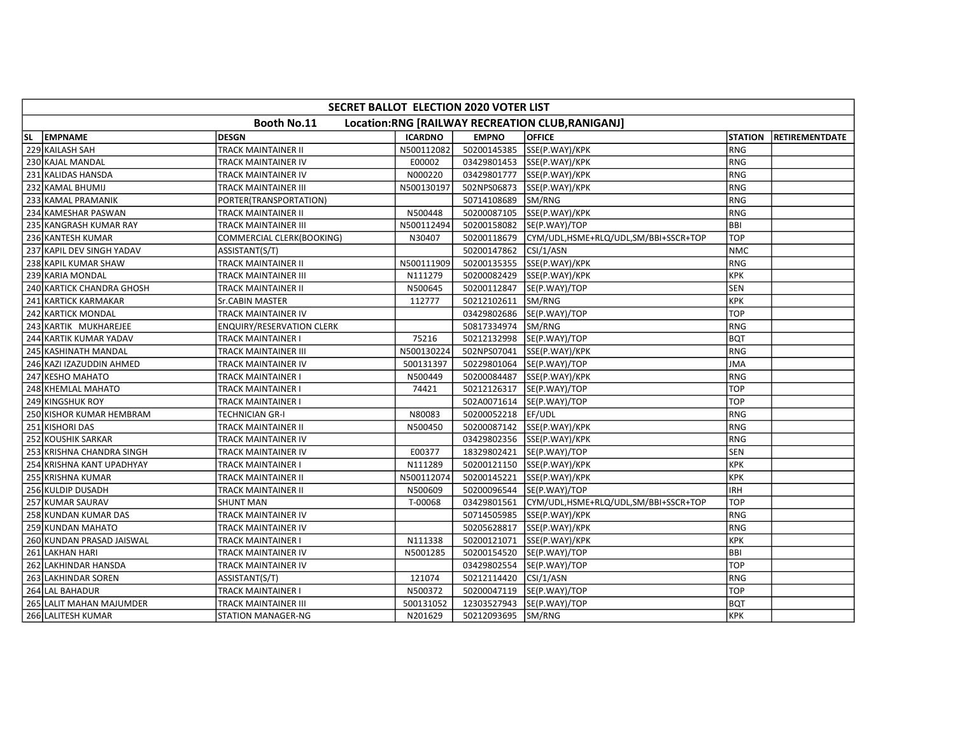|    | SECRET BALLOT ELECTION 2020 VOTER LIST                          |                                  |                |              |                                      |                |                       |  |  |  |
|----|-----------------------------------------------------------------|----------------------------------|----------------|--------------|--------------------------------------|----------------|-----------------------|--|--|--|
|    | Booth No.11<br>Location:RNG [RAILWAY RECREATION CLUB, RANIGANJ] |                                  |                |              |                                      |                |                       |  |  |  |
| SL | <b>EMPNAME</b>                                                  | <b>DESGN</b>                     | <b>ICARDNO</b> | <b>EMPNO</b> | <b>OFFICE</b>                        | <b>STATION</b> | <b>RETIREMENTDATE</b> |  |  |  |
|    | 229 KAILASH SAH                                                 | <b>TRACK MAINTAINER II</b>       | N500112082     | 50200145385  | SSE(P.WAY)/KPK                       | l RNG          |                       |  |  |  |
|    | 230 KAJAL MANDAL                                                | TRACK MAINTAINER IV              | E00002         |              | 03429801453 SSE(P.WAY)/KPK           | RNG            |                       |  |  |  |
|    | 231 KALIDAS HANSDA                                              | TRACK MAINTAINER IV              | N000220        | 03429801777  | SSE(P.WAY)/KPK                       | RNG            |                       |  |  |  |
|    | 232 KAMAL BHUMIJ                                                | TRACK MAINTAINER III             | N500130197     | 502NPS06873  | SSE(P.WAY)/KPK                       | RNG            |                       |  |  |  |
|    | 233 KAMAL PRAMANIK                                              | PORTER(TRANSPORTATION)           |                | 50714108689  | SM/RNG                               | IRNG           |                       |  |  |  |
|    | 234 KAMESHAR PASWAN                                             | TRACK MAINTAINER II              | N500448        | 50200087105  | SSE(P.WAY)/KPK                       | RNG            |                       |  |  |  |
|    | 235 KANGRASH KUMAR RAY                                          | TRACK MAINTAINER III             | N500112494     | 50200158082  | SE(P.WAY)/TOP                        | BBI            |                       |  |  |  |
|    | 236 KANTESH KUMAR                                               | COMMERCIAL CLERK(BOOKING)        | N30407         | 50200118679  | CYM/UDL,HSME+RLQ/UDL,SM/BBI+SSCR+TOP | <b>TOP</b>     |                       |  |  |  |
|    | 237 KAPIL DEV SINGH YADAV                                       | ASSISTANT(S/T)                   |                | 50200147862  | CSI/1/ASN                            | <b>NMC</b>     |                       |  |  |  |
|    | 238 KAPIL KUMAR SHAW                                            | <b>TRACK MAINTAINER II</b>       | N500111909     | 50200135355  | SSE(P.WAY)/KPK                       | l RNG          |                       |  |  |  |
|    | 239 KARIA MONDAL                                                | TRACK MAINTAINER III             | N111279        | 50200082429  | SSE(P.WAY)/KPK                       | KPK            |                       |  |  |  |
|    | 240 KARTICK CHANDRA GHOSH                                       | TRACK MAINTAINER II              | N500645        | 50200112847  | SE(P.WAY)/TOP                        | <b>SEN</b>     |                       |  |  |  |
|    | 241 KARTICK KARMAKAR                                            | Sr.CABIN MASTER                  | 112777         | 50212102611  | SM/RNG                               | KPK            |                       |  |  |  |
|    | 242 KARTICK MONDAL                                              | TRACK MAINTAINER IV              |                | 03429802686  | SE(P.WAY)/TOP                        | <b>TOP</b>     |                       |  |  |  |
|    | 243 KARTIK MUKHAREJEE                                           | <b>ENQUIRY/RESERVATION CLERK</b> |                | 50817334974  | SM/RNG                               | RNG            |                       |  |  |  |
|    | 244 KARTIK KUMAR YADAV                                          | TRACK MAINTAINER I               | 75216          | 50212132998  | SE(P.WAY)/TOP                        | <b>BQT</b>     |                       |  |  |  |
|    | 245 KASHINATH MANDAL                                            | TRACK MAINTAINER III             | N500130224     | 502NPS07041  | SSE(P.WAY)/KPK                       | RNG            |                       |  |  |  |
|    | 246 KAZI IZAZUDDIN AHMED                                        | TRACK MAINTAINER IV              | 500131397      | 50229801064  | SE(P.WAY)/TOP                        | JMA            |                       |  |  |  |
|    | 247 KESHO MAHATO                                                | TRACK MAINTAINER I               | N500449        | 50200084487  | SSE(P.WAY)/KPK                       | RNG            |                       |  |  |  |
|    | 248 KHEMLAL MAHATO                                              | TRACK MAINTAINER I               | 74421          |              | 50212126317  SE(P.WAY)/TOP           | тор            |                       |  |  |  |
|    | 249 KINGSHUK ROY                                                | TRACK MAINTAINER I               |                |              | 502A0071614  SE(P.WAY)/TOP           | <b>TOP</b>     |                       |  |  |  |
|    | 250 KISHOR KUMAR HEMBRAM                                        | TECHNICIAN GR-I                  | N80083         | 50200052218  | EF/UDL                               | IRNG           |                       |  |  |  |
|    | 251 KISHORI DAS                                                 | TRACK MAINTAINER II              | N500450        | 50200087142  | SSE(P.WAY)/KPK                       | RNG            |                       |  |  |  |
|    | 252 KOUSHIK SARKAR                                              | TRACK MAINTAINER IV              |                |              | 03429802356 SSE(P.WAY)/KPK           | RNG            |                       |  |  |  |
|    | 253 KRISHNA CHANDRA SINGH                                       | TRACK MAINTAINER IV              | E00377         | 18329802421  | SE(P.WAY)/TOP                        | <b>SEN</b>     |                       |  |  |  |
|    | 254 KRISHNA KANT UPADHYAY                                       | TRACK MAINTAINER I               | N111289        | 50200121150  | SSE(P.WAY)/KPK                       | KPK            |                       |  |  |  |
|    | 255 KRISHNA KUMAR                                               | TRACK MAINTAINER II              | N500112074     | 50200145221  | SSE(P.WAY)/KPK                       | KPK            |                       |  |  |  |
|    | 256 KULDIP DUSADH                                               | TRACK MAINTAINER II              | N500609        | 50200096544  | SE(P.WAY)/TOP                        | <b>IRH</b>     |                       |  |  |  |
|    | 257 KUMAR SAURAV                                                | <b>SHUNT MAN</b>                 | T-00068        | 03429801561  | CYM/UDL,HSME+RLQ/UDL,SM/BBI+SSCR+TOP | TOP            |                       |  |  |  |
|    | 258 KUNDAN KUMAR DAS                                            | TRACK MAINTAINER IV              |                |              | 50714505985  SSE(P.WAY)/KPK          | RNG            |                       |  |  |  |
|    | 259 KUNDAN MAHATO                                               | TRACK MAINTAINER IV              |                | 50205628817  | SSE(P.WAY)/KPK                       | RNG            |                       |  |  |  |
|    | 260 KUNDAN PRASAD JAISWAL                                       | TRACK MAINTAINER I               | N111338        | 50200121071  | SSE(P.WAY)/KPK                       | KPK            |                       |  |  |  |
|    | 261 LAKHAN HARI                                                 | TRACK MAINTAINER IV              | N5001285       | 50200154520  | SE(P.WAY)/TOP                        | <b>BBI</b>     |                       |  |  |  |
|    | 262 LAKHINDAR HANSDA                                            | TRACK MAINTAINER IV              |                | 03429802554  | SE(P.WAY)/TOP                        | Ітор           |                       |  |  |  |
|    | 263 LAKHINDAR SOREN                                             | ASSISTANT(S/T)                   | 121074         | 50212114420  | CSI/1/ASN                            | RNG            |                       |  |  |  |
|    | 264 LAL BAHADUR                                                 | TRACK MAINTAINER I               | N500372        | 50200047119  | SE(P.WAY)/TOP                        | <b>TOP</b>     |                       |  |  |  |
|    | 265 LALIT MAHAN MAJUMDER                                        | TRACK MAINTAINER III             | 500131052      | 12303527943  | SE(P.WAY)/TOP                        | <b>BQT</b>     |                       |  |  |  |
|    | 266 LALITESH KUMAR                                              | <b>STATION MANAGER-NG</b>        | N201629        | 50212093695  | SM/RNG                               | Ікрк           |                       |  |  |  |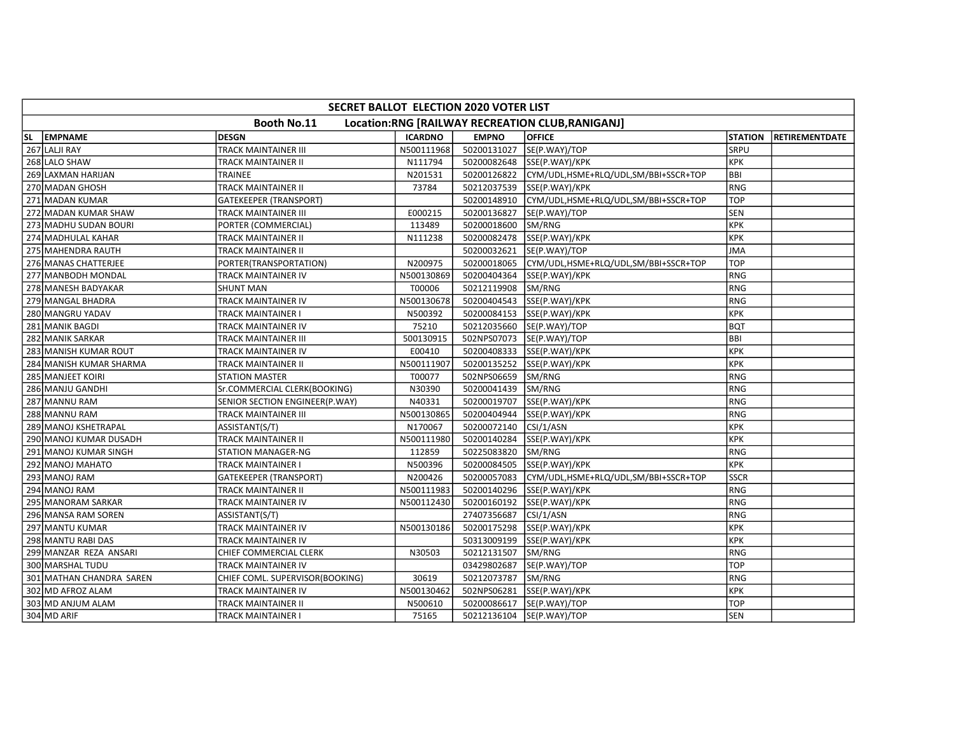|           | SECRET BALLOT ELECTION 2020 VOTER LIST                          |                                 |                |              |                                      |                |                       |  |  |  |  |
|-----------|-----------------------------------------------------------------|---------------------------------|----------------|--------------|--------------------------------------|----------------|-----------------------|--|--|--|--|
|           | Booth No.11<br>Location:RNG [RAILWAY RECREATION CLUB, RANIGANJ] |                                 |                |              |                                      |                |                       |  |  |  |  |
| <b>SL</b> | <b>EMPNAME</b>                                                  | <b>DESGN</b>                    | <b>ICARDNO</b> | <b>EMPNO</b> | <b>OFFICE</b>                        | <b>STATION</b> | <b>RETIREMENTDATE</b> |  |  |  |  |
|           | 267 LALJI RAY                                                   | <b>TRACK MAINTAINER III</b>     | N500111968     | 50200131027  | SE(P.WAY)/TOP                        | SRPU           |                       |  |  |  |  |
|           | 268 LALO SHAW                                                   | TRACK MAINTAINER II             | N111794        |              | 50200082648 SSE(P.WAY)/KPK           | KPK            |                       |  |  |  |  |
|           | 269 LAXMAN HARIJAN                                              | TRAINEE                         | N201531        | 50200126822  | CYM/UDL,HSME+RLQ/UDL,SM/BBI+SSCR+TOP | <b>BBI</b>     |                       |  |  |  |  |
|           | 270 MADAN GHOSH                                                 | TRACK MAINTAINER II             | 73784          | 50212037539  | SSE(P.WAY)/KPK                       | <b>RNG</b>     |                       |  |  |  |  |
|           | 271 MADAN KUMAR                                                 | <b>GATEKEEPER (TRANSPORT)</b>   |                | 50200148910  | CYM/UDL,HSME+RLQ/UDL,SM/BBI+SSCR+TOP | <b>TOP</b>     |                       |  |  |  |  |
|           | 272 MADAN KUMAR SHAW                                            | TRACK MAINTAINER III            | E000215        | 50200136827  | SE(P.WAY)/TOP                        | <b>SEN</b>     |                       |  |  |  |  |
|           | 273 MADHU SUDAN BOURI                                           | PORTER (COMMERCIAL)             | 113489         | 50200018600  | SM/RNG                               | KPK            |                       |  |  |  |  |
|           | 274 MADHULAL KAHAR                                              | TRACK MAINTAINER II             | N111238        | 50200082478  | SSE(P.WAY)/KPK                       | KPK            |                       |  |  |  |  |
|           | 275 MAHENDRA RAUTH                                              | TRACK MAINTAINER II             |                | 50200032621  | SE(P.WAY)/TOP                        | <b>JMA</b>     |                       |  |  |  |  |
|           | 276 MANAS CHATTERJEE                                            | PORTER(TRANSPORTATION)          | N200975        | 50200018065  | CYM/UDL,HSME+RLQ/UDL,SM/BBI+SSCR+TOP | <b>TOP</b>     |                       |  |  |  |  |
|           | 277 MANBODH MONDAL                                              | TRACK MAINTAINER IV             | N500130869     | 50200404364  | SSE(P.WAY)/KPK                       | RNG            |                       |  |  |  |  |
|           | 278 MANESH BADYAKAR                                             | <b>SHUNT MAN</b>                | T00006         | 50212119908  | SM/RNG                               | RNG            |                       |  |  |  |  |
|           | 279 MANGAL BHADRA                                               | TRACK MAINTAINER IV             | N500130678     | 50200404543  | SSE(P.WAY)/KPK                       | RNG            |                       |  |  |  |  |
|           | 280 MANGRU YADAV                                                | TRACK MAINTAINER I              | N500392        | 50200084153  | SSE(P.WAY)/KPK                       | <b>KPK</b>     |                       |  |  |  |  |
|           | 281 MANIK BAGDI                                                 | TRACK MAINTAINER IV             | 75210          | 50212035660  | SE(P.WAY)/TOP                        | <b>BQT</b>     |                       |  |  |  |  |
|           | 282 MANIK SARKAR                                                | TRACK MAINTAINER III            | 500130915      | 502NPS07073  | SE(P.WAY)/TOP                        | <b>BBI</b>     |                       |  |  |  |  |
|           | 283 MANISH KUMAR ROUT                                           | TRACK MAINTAINER IV             | E00410         | 50200408333  | SSE(P.WAY)/KPK                       | <b>KPK</b>     |                       |  |  |  |  |
|           | 284 MANISH KUMAR SHARMA                                         | TRACK MAINTAINER II             | N500111907     | 50200135252  | SSE(P.WAY)/KPK                       | <b>KPK</b>     |                       |  |  |  |  |
|           | 285 MANJEET KOIRI                                               | <b>STATION MASTER</b>           | T00077         | 502NPS06659  | SM/RNG                               | RNG            |                       |  |  |  |  |
|           | 286 MANJU GANDHI                                                | Sr.COMMERCIAL CLERK(BOOKING)    | N30390         | 50200041439  | SM/RNG                               | RNG            |                       |  |  |  |  |
|           | 287 MANNU RAM                                                   | SENIOR SECTION ENGINEER(P.WAY)  | N40331         | 50200019707  | SSE(P.WAY)/KPK                       | RNG            |                       |  |  |  |  |
|           | 288 MANNU RAM                                                   | TRACK MAINTAINER III            | N500130865     | 50200404944  | SSE(P.WAY)/KPK                       | RNG            |                       |  |  |  |  |
|           | 289 MANOJ KSHETRAPAL                                            | ASSISTANT(S/T)                  | N170067        | 50200072140  | CSI/1/ASN                            | <b>KPK</b>     |                       |  |  |  |  |
|           | 290 MANOJ KUMAR DUSADH                                          | TRACK MAINTAINER II             | N500111980     | 50200140284  | SSE(P.WAY)/KPK                       | <b>KPK</b>     |                       |  |  |  |  |
|           | 291 MANOJ KUMAR SINGH                                           | <b>STATION MANAGER-NG</b>       | 112859         | 50225083820  | SM/RNG                               | RNG            |                       |  |  |  |  |
|           | 292 MANOJ MAHATO                                                | TRACK MAINTAINER I              | N500396        | 50200084505  | SSE(P.WAY)/KPK                       | KPK            |                       |  |  |  |  |
|           | 293 MANOJ RAM                                                   | <b>GATEKEEPER (TRANSPORT)</b>   | N200426        | 50200057083  | CYM/UDL,HSME+RLQ/UDL,SM/BBI+SSCR+TOP | <b>SSCR</b>    |                       |  |  |  |  |
|           | 294 MANOJ RAM                                                   | TRACK MAINTAINER II             | N500111983     | 50200140296  | SSE(P.WAY)/KPK                       | <b>RNG</b>     |                       |  |  |  |  |
|           | 295 MANORAM SARKAR                                              | TRACK MAINTAINER IV             | N500112430     | 50200160192  | SSE(P.WAY)/KPK                       | RNG            |                       |  |  |  |  |
|           | 296 MANSA RAM SOREN                                             | ASSISTANT(S/T)                  |                | 27407356687  | CSI/1/ASN                            | RNG            |                       |  |  |  |  |
|           | 297 MANTU KUMAR                                                 | TRACK MAINTAINER IV             | N500130186     | 50200175298  | SSE(P.WAY)/KPK                       | <b>KPK</b>     |                       |  |  |  |  |
|           | 298 MANTU RABI DAS                                              | TRACK MAINTAINER IV             |                | 50313009199  | SSE(P.WAY)/KPK                       | KPK            |                       |  |  |  |  |
|           | 299 MANZAR REZA ANSARI                                          | CHIEF COMMERCIAL CLERK          | N30503         | 50212131507  | SM/RNG                               | <b>RNG</b>     |                       |  |  |  |  |
|           | 300 MARSHAL TUDU                                                | TRACK MAINTAINER IV             |                | 03429802687  | SE(P.WAY)/TOP                        | <b>TOP</b>     |                       |  |  |  |  |
|           | 301 MATHAN CHANDRA SAREN                                        | CHIEF COML. SUPERVISOR(BOOKING) | 30619          | 50212073787  | SM/RNG                               | RNG            |                       |  |  |  |  |
|           | 302 MD AFROZ ALAM                                               | TRACK MAINTAINER IV             | N500130462     | 502NPS06281  | SSE(P.WAY)/KPK                       | KPK            |                       |  |  |  |  |
|           | 303 MD ANJUM ALAM                                               | TRACK MAINTAINER II             | N500610        | 50200086617  | SE(P.WAY)/TOP                        | TOP            |                       |  |  |  |  |
|           | 304 MD ARIF                                                     | TRACK MAINTAINER I              | 75165          |              | 50212136104  SE(P.WAY)/TOP           | <b>SEN</b>     |                       |  |  |  |  |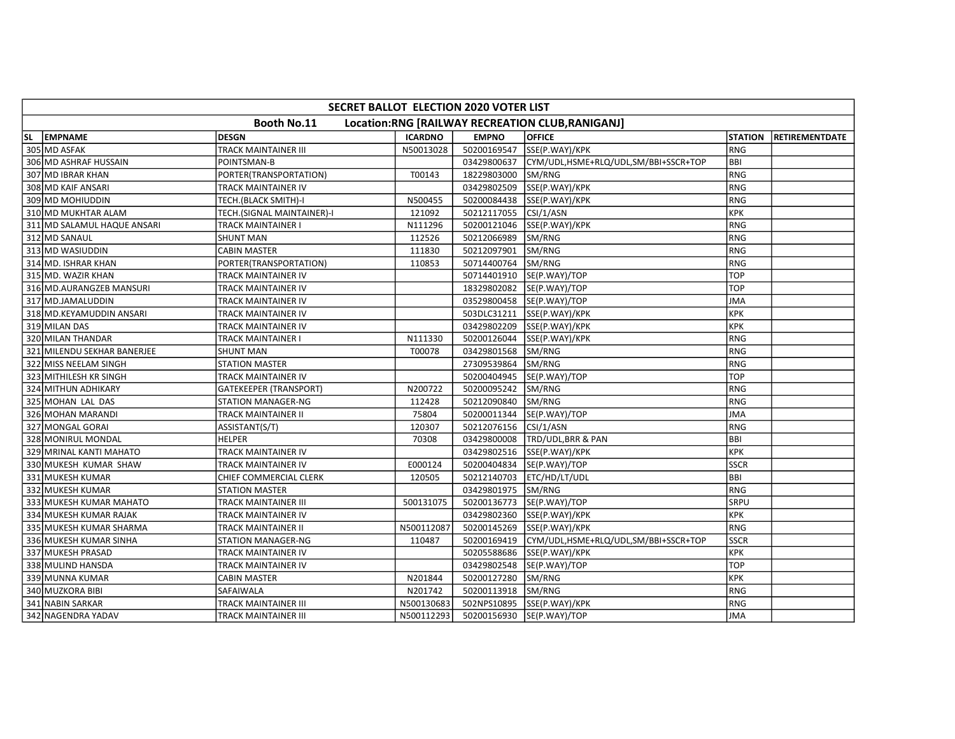|           |                                                                 |                               | SECRET BALLOT ELECTION 2020 VOTER LIST |              |                                      |                |                        |  |  |  |  |  |
|-----------|-----------------------------------------------------------------|-------------------------------|----------------------------------------|--------------|--------------------------------------|----------------|------------------------|--|--|--|--|--|
|           | Booth No.11<br>Location:RNG [RAILWAY RECREATION CLUB, RANIGANJ] |                               |                                        |              |                                      |                |                        |  |  |  |  |  |
| <b>SL</b> | <b>EMPNAME</b>                                                  | <b>DESGN</b>                  | <b>ICARDNO</b>                         | <b>EMPNO</b> | <b>OFFICE</b>                        | <b>STATION</b> | <b>IRETIREMENTDATE</b> |  |  |  |  |  |
|           | 305 MD ASFAK                                                    | <b>TRACK MAINTAINER III</b>   | N50013028                              | 50200169547  | SSE(P.WAY)/KPK                       | <b>RNG</b>     |                        |  |  |  |  |  |
|           | 306 MD ASHRAF HUSSAIN                                           | POINTSMAN-B                   |                                        | 03429800637  | CYM/UDL,HSME+RLQ/UDL,SM/BBI+SSCR+TOP | BBI            |                        |  |  |  |  |  |
|           | 307 MD IBRAR KHAN                                               | PORTER(TRANSPORTATION)        | T00143                                 | 18229803000  | SM/RNG                               | <b>RNG</b>     |                        |  |  |  |  |  |
|           | 308 MD KAIF ANSARI                                              | TRACK MAINTAINER IV           |                                        | 03429802509  | SSE(P.WAY)/KPK                       | <b>RNG</b>     |                        |  |  |  |  |  |
|           | 309 MD MOHIUDDIN                                                | TECH.(BLACK SMITH)-I          | N500455                                | 50200084438  | SSE(P.WAY)/KPK                       | <b>RNG</b>     |                        |  |  |  |  |  |
|           | 310 MD MUKHTAR ALAM                                             | TECH.(SIGNAL MAINTAINER)-I    | 121092                                 | 50212117055  | CSI/1/ASN                            | <b>KPK</b>     |                        |  |  |  |  |  |
|           | 311 MD SALAMUL HAQUE ANSARI                                     | TRACK MAINTAINER I            | N111296                                | 50200121046  | SSE(P.WAY)/KPK                       | <b>RNG</b>     |                        |  |  |  |  |  |
|           | 312 MD SANAUL                                                   | <b>SHUNT MAN</b>              | 112526                                 | 50212066989  | SM/RNG                               | <b>RNG</b>     |                        |  |  |  |  |  |
|           | 313 MD WASIUDDIN                                                | <b>CABIN MASTER</b>           | 111830                                 | 50212097901  | SM/RNG                               | <b>RNG</b>     |                        |  |  |  |  |  |
|           | 314 MD. ISHRAR KHAN                                             | PORTER(TRANSPORTATION)        | 110853                                 | 50714400764  | <b>SM/RNG</b>                        | <b>RNG</b>     |                        |  |  |  |  |  |
|           | 315 MD. WAZIR KHAN                                              | TRACK MAINTAINER IV           |                                        | 50714401910  | SE(P.WAY)/TOP                        | <b>TOP</b>     |                        |  |  |  |  |  |
|           | 316 MD.AURANGZEB MANSURI                                        | TRACK MAINTAINER IV           |                                        | 18329802082  | SE(P.WAY)/TOP                        | <b>TOP</b>     |                        |  |  |  |  |  |
|           | 317 MD.JAMALUDDIN                                               | TRACK MAINTAINER IV           |                                        | 03529800458  | SE(P.WAY)/TOP                        | <b>JMA</b>     |                        |  |  |  |  |  |
|           | 318 MD.KEYAMUDDIN ANSARI                                        | TRACK MAINTAINER IV           |                                        | 503DLC31211  | SSE(P.WAY)/KPK                       | <b>KPK</b>     |                        |  |  |  |  |  |
|           | 319 MILAN DAS                                                   | TRACK MAINTAINER IV           |                                        | 03429802209  | SSE(P.WAY)/KPK                       | <b>KPK</b>     |                        |  |  |  |  |  |
|           | 320 MILAN THANDAR                                               | TRACK MAINTAINER I            | N111330                                | 50200126044  | SSE(P.WAY)/KPK                       | <b>RNG</b>     |                        |  |  |  |  |  |
|           | 321 MILENDU SEKHAR BANERJEE                                     | <b>SHUNT MAN</b>              | T00078                                 | 03429801568  | SM/RNG                               | <b>RNG</b>     |                        |  |  |  |  |  |
|           | 322 MISS NEELAM SINGH                                           | <b>STATION MASTER</b>         |                                        | 27309539864  | SM/RNG                               | <b>RNG</b>     |                        |  |  |  |  |  |
|           | 323 MITHILESH KR SINGH                                          | <b>TRACK MAINTAINER IV</b>    |                                        | 50200404945  | SE(P.WAY)/TOP                        | <b>TOP</b>     |                        |  |  |  |  |  |
|           | 324 MITHUN ADHIKARY                                             | <b>GATEKEEPER (TRANSPORT)</b> | N200722                                | 50200095242  | SM/RNG                               | <b>RNG</b>     |                        |  |  |  |  |  |
|           | 325 MOHAN LAL DAS                                               | <b>STATION MANAGER-NG</b>     | 112428                                 | 50212090840  | SM/RNG                               | <b>RNG</b>     |                        |  |  |  |  |  |
|           | 326 MOHAN MARANDI                                               | TRACK MAINTAINER II           | 75804                                  | 50200011344  | SE(P.WAY)/TOP                        | <b>JMA</b>     |                        |  |  |  |  |  |
|           | 327 MONGAL GORAI                                                | ASSISTANT(S/T)                | 120307                                 | 50212076156  | CSI/1/ASN                            | <b>RNG</b>     |                        |  |  |  |  |  |
|           | 328 MONIRUL MONDAL                                              | <b>HELPER</b>                 | 70308                                  | 03429800008  | TRD/UDL, BRR & PAN                   | BBI            |                        |  |  |  |  |  |
|           | 329 MRINAL KANTI MAHATO                                         | <b>TRACK MAINTAINER IV</b>    |                                        | 03429802516  | SSE(P.WAY)/KPK                       | <b>KPK</b>     |                        |  |  |  |  |  |
|           | 330 MUKESH KUMAR SHAW                                           | TRACK MAINTAINER IV           | E000124                                | 50200404834  | SE(P.WAY)/TOP                        | <b>SSCR</b>    |                        |  |  |  |  |  |
|           | 331 MUKESH KUMAR                                                | CHIEF COMMERCIAL CLERK        | 120505                                 | 50212140703  | ETC/HD/LT/UDL                        | BBI            |                        |  |  |  |  |  |
|           | 332 MUKESH KUMAR                                                | <b>STATION MASTER</b>         |                                        | 03429801975  | SM/RNG                               | <b>RNG</b>     |                        |  |  |  |  |  |
|           | 333 MUKESH KUMAR MAHATO                                         | TRACK MAINTAINER III          | 500131075                              | 50200136773  | SE(P.WAY)/TOP                        | SRPU           |                        |  |  |  |  |  |
|           | 334 MUKESH KUMAR RAJAK                                          | TRACK MAINTAINER IV           |                                        | 03429802360  | SSE(P.WAY)/KPK                       | <b>KPK</b>     |                        |  |  |  |  |  |
|           | 335 MUKESH KUMAR SHARMA                                         | TRACK MAINTAINER II           | N500112087                             | 50200145269  | SSE(P.WAY)/KPK                       | <b>RNG</b>     |                        |  |  |  |  |  |
|           | 336 MUKESH KUMAR SINHA                                          | <b>STATION MANAGER-NG</b>     | 110487                                 | 50200169419  | CYM/UDL,HSME+RLQ/UDL,SM/BBI+SSCR+TOP | <b>SSCR</b>    |                        |  |  |  |  |  |
|           | 337 MUKESH PRASAD                                               | TRACK MAINTAINER IV           |                                        | 50205588686  | SSE(P.WAY)/KPK                       | <b>KPK</b>     |                        |  |  |  |  |  |
|           | 338 MULIND HANSDA                                               | TRACK MAINTAINER IV           |                                        | 03429802548  | SE(P.WAY)/TOP                        | <b>TOP</b>     |                        |  |  |  |  |  |
|           | 339 MUNNA KUMAR                                                 | <b>CABIN MASTER</b>           | N201844                                | 50200127280  | SM/RNG                               | <b>KPK</b>     |                        |  |  |  |  |  |
|           | 340 MUZKORA BIBI                                                | SAFAIWALA                     | N201742                                | 50200113918  | SM/RNG                               | <b>RNG</b>     |                        |  |  |  |  |  |
|           | 341 NABIN SARKAR                                                | TRACK MAINTAINER III          | N500130683                             | 502NPS10895  | SSE(P.WAY)/KPK                       | <b>RNG</b>     |                        |  |  |  |  |  |
|           | 342 NAGENDRA YADAV                                              | <b>TRACK MAINTAINER III</b>   | N500112293                             |              | 50200156930 SE(P.WAY)/TOP            | JMA            |                        |  |  |  |  |  |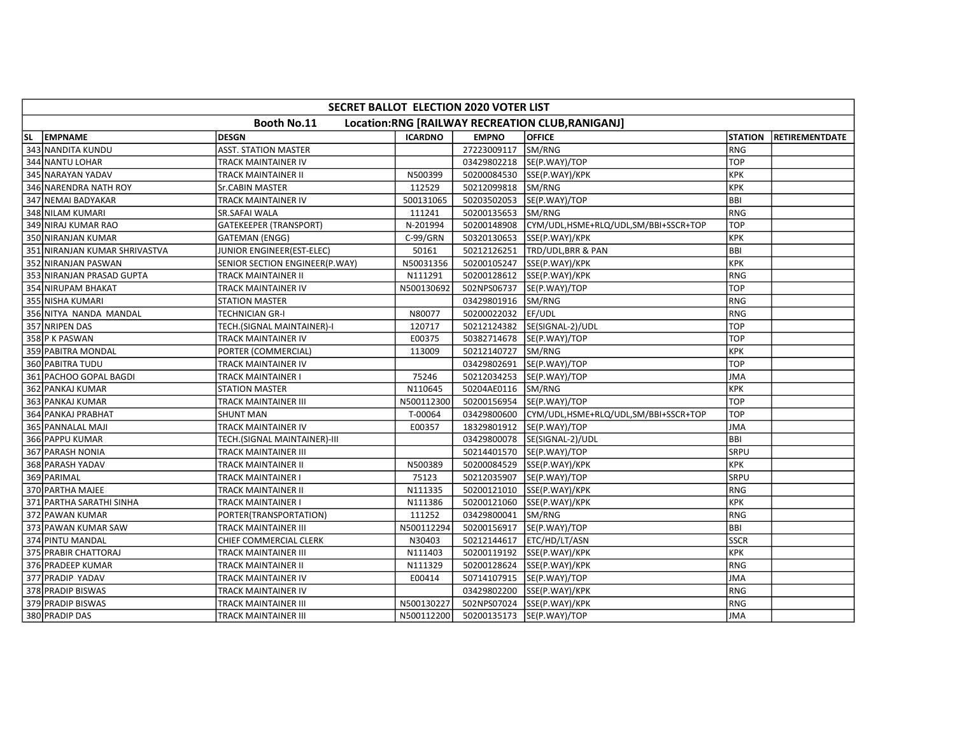|    | SECRET BALLOT ELECTION 2020 VOTER LIST                                 |                                       |                |              |                                      |                |                       |  |  |  |  |
|----|------------------------------------------------------------------------|---------------------------------------|----------------|--------------|--------------------------------------|----------------|-----------------------|--|--|--|--|
|    | <b>Booth No.11</b><br>Location:RNG [RAILWAY RECREATION CLUB, RANIGANJ] |                                       |                |              |                                      |                |                       |  |  |  |  |
| SL | <b>EMPNAME</b>                                                         | <b>DESGN</b>                          | <b>ICARDNO</b> | <b>EMPNO</b> | <b>OFFICE</b>                        | <b>STATION</b> | <b>RETIREMENTDATE</b> |  |  |  |  |
|    | 343 NANDITA KUNDU                                                      | <b>ASST. STATION MASTER</b>           |                | 27223009117  | SM/RNG                               | l RNG          |                       |  |  |  |  |
|    | 344 NANTU LOHAR                                                        | TRACK MAINTAINER IV                   |                |              | 03429802218  SE(P.WAY)/TOP           | TOP            |                       |  |  |  |  |
|    | 345 NARAYAN YADAV                                                      | TRACK MAINTAINER II                   | N500399        | 50200084530  | SSE(P.WAY)/KPK                       | <b>KPK</b>     |                       |  |  |  |  |
|    | 346 NARENDRA NATH ROY                                                  | Sr.CABIN MASTER                       | 112529         | 50212099818  | SM/RNG                               | KPK            |                       |  |  |  |  |
|    | 347 NEMAI BADYAKAR                                                     | TRACK MAINTAINER IV                   | 500131065      | 50203502053  | SE(P.WAY)/TOP                        | lbbi           |                       |  |  |  |  |
|    | 348 NILAM KUMARI                                                       | <b>SR.SAFAI WALA</b>                  | 111241         | 50200135653  | SM/RNG                               | RNG            |                       |  |  |  |  |
|    | 349 NIRAJ KUMAR RAO                                                    | <b>GATEKEEPER (TRANSPORT)</b>         | N-201994       | 50200148908  | CYM/UDL,HSME+RLQ/UDL,SM/BBI+SSCR+TOP | <b>TOP</b>     |                       |  |  |  |  |
|    | 350 NIRANJAN KUMAR                                                     | <b>GATEMAN (ENGG)</b>                 | $C-99/GRN$     | 50320130653  | SSE(P.WAY)/KPK                       | KPK            |                       |  |  |  |  |
|    | 351 NIRANJAN KUMAR SHRIVASTVA                                          | JUNIOR ENGINEER(EST-ELEC)             | 50161          | 50212126251  | TRD/UDL,BRR & PAN                    | <b>BBI</b>     |                       |  |  |  |  |
|    | 352 NIRANJAN PASWAN                                                    | <b>SENIOR SECTION ENGINEER(P.WAY)</b> | N50031356      | 50200105247  | SSE(P.WAY)/KPK                       | KPK            |                       |  |  |  |  |
|    | 353 NIRANJAN PRASAD GUPTA                                              | TRACK MAINTAINER II                   | N111291        | 50200128612  | SSE(P.WAY)/KPK                       | RNG            |                       |  |  |  |  |
|    | 354 NIRUPAM BHAKAT                                                     | TRACK MAINTAINER IV                   | N500130692     | 502NPS06737  | SE(P.WAY)/TOP                        | <b>TOP</b>     |                       |  |  |  |  |
|    | 355 NISHA KUMARI                                                       | <b>STATION MASTER</b>                 |                | 03429801916  | SM/RNG                               | RNG            |                       |  |  |  |  |
|    | 356 NITYA NANDA MANDAL                                                 | <b>TECHNICIAN GR-I</b>                | N80077         | 50200022032  | EF/UDL                               | RNG            |                       |  |  |  |  |
|    | 357 NRIPEN DAS                                                         | TECH.(SIGNAL MAINTAINER)-I            | 120717         | 50212124382  | SE(SIGNAL-2)/UDL                     | <b>TOP</b>     |                       |  |  |  |  |
|    | 358 P K PASWAN                                                         | TRACK MAINTAINER IV                   | E00375         | 50382714678  | SE(P.WAY)/TOP                        | <b>TOP</b>     |                       |  |  |  |  |
|    | 359 PABITRA MONDAL                                                     | PORTER (COMMERCIAL)                   | 113009         | 50212140727  | SM/RNG                               | KPK            |                       |  |  |  |  |
|    | 360 PABITRA TUDU                                                       | TRACK MAINTAINER IV                   |                | 03429802691  | SE(P.WAY)/TOP                        | TOP            |                       |  |  |  |  |
|    | 361 PACHOO GOPAL BAGDI                                                 | <b>TRACK MAINTAINER I</b>             | 75246          |              | 50212034253 SE(P.WAY)/TOP            | JMA            |                       |  |  |  |  |
|    | 362 PANKAJ KUMAR                                                       | <b>STATION MASTER</b>                 | N110645        | 50204AE0116  | SM/RNG                               | KPK            |                       |  |  |  |  |
|    | 363 PANKAJ KUMAR                                                       | TRACK MAINTAINER III                  | N500112300     | 50200156954  | SE(P.WAY)/TOP                        | <b>TOP</b>     |                       |  |  |  |  |
|    | 364 PANKAJ PRABHAT                                                     | <b>SHUNT MAN</b>                      | T-00064        | 03429800600  | CYM/UDL,HSME+RLQ/UDL,SM/BBI+SSCR+TOP | <b>TOP</b>     |                       |  |  |  |  |
|    | 365 PANNALAL MAJI                                                      | TRACK MAINTAINER IV                   | E00357         | 18329801912  | SE(P.WAY)/TOP                        | <b>JMA</b>     |                       |  |  |  |  |
|    | 366 PAPPU KUMAR                                                        | TECH.(SIGNAL MAINTAINER)-III          |                | 03429800078  | SE(SIGNAL-2)/UDL                     | BBI            |                       |  |  |  |  |
|    | 367 PARASH NONIA                                                       | <b>TRACK MAINTAINER III</b>           |                | 50214401570  | SE(P.WAY)/TOP                        | <b>SRPU</b>    |                       |  |  |  |  |
|    | 368 PARASH YADAV                                                       | TRACK MAINTAINER II                   | N500389        | 50200084529  | SSE(P.WAY)/KPK                       | KPK            |                       |  |  |  |  |
|    | 369 PARIMAL                                                            | TRACK MAINTAINER I                    | 75123          | 50212035907  | SE(P.WAY)/TOP                        | <b>SRPU</b>    |                       |  |  |  |  |
|    | 370 PARTHA MAJEE                                                       | TRACK MAINTAINER II                   | N111335        | 50200121010  | SSE(P.WAY)/KPK                       | RNG            |                       |  |  |  |  |
|    | 371 PARTHA SARATHI SINHA                                               | TRACK MAINTAINER I                    | N111386        | 50200121060  | SSE(P.WAY)/KPK                       | <b>KPK</b>     |                       |  |  |  |  |
|    | 372 PAWAN KUMAR                                                        | PORTER(TRANSPORTATION)                | 111252         | 03429800041  | SM/RNG                               | RNG            |                       |  |  |  |  |
|    | 373 PAWAN KUMAR SAW                                                    | TRACK MAINTAINER III                  | N500112294     | 50200156917  | SE(P.WAY)/TOP                        | <b>BBI</b>     |                       |  |  |  |  |
|    | 374 PINTU MANDAL                                                       | CHIEF COMMERCIAL CLERK                | N30403         | 50212144617  | ETC/HD/LT/ASN                        | <b>SSCR</b>    |                       |  |  |  |  |
|    | 375 PRABIR CHATTORAJ                                                   | TRACK MAINTAINER III                  | N111403        | 50200119192  | SSE(P.WAY)/KPK                       | KPK            |                       |  |  |  |  |
|    | 376 PRADEEP KUMAR                                                      | <b>TRACK MAINTAINER II</b>            | N111329        | 50200128624  | SSE(P.WAY)/KPK                       | IRNG           |                       |  |  |  |  |
|    | 377 PRADIP YADAV                                                       | TRACK MAINTAINER IV                   | E00414         | 50714107915  | SE(P.WAY)/TOP                        | JMA            |                       |  |  |  |  |
|    | 378 PRADIP BISWAS                                                      | TRACK MAINTAINER IV                   |                | 03429802200  | SSE(P.WAY)/KPK                       | RNG            |                       |  |  |  |  |
|    | 379 PRADIP BISWAS                                                      | TRACK MAINTAINER III                  | N500130227     | 502NPS07024  | SSE(P.WAY)/KPK                       | RNG            |                       |  |  |  |  |
|    | 380 PRADIP DAS                                                         | TRACK MAINTAINER III                  | N500112200     |              | 50200135173  SE(P.WAY)/TOP           | JMA            |                       |  |  |  |  |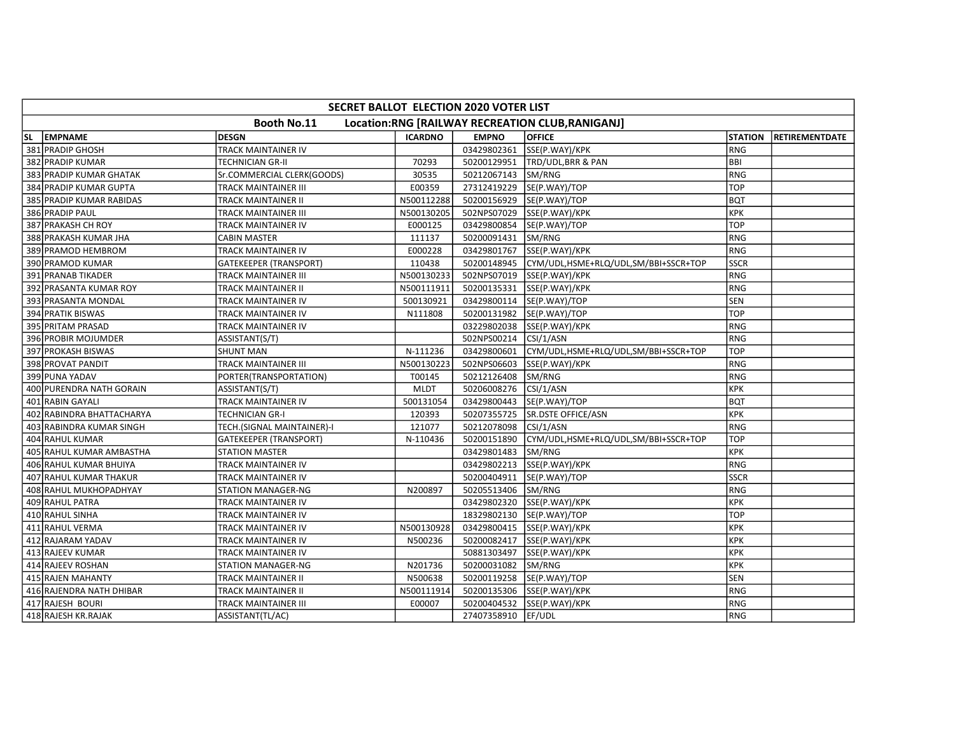|     | SECRET BALLOT ELECTION 2020 VOTER LIST                          |                               |                |                    |                                      |                |                       |  |  |  |  |
|-----|-----------------------------------------------------------------|-------------------------------|----------------|--------------------|--------------------------------------|----------------|-----------------------|--|--|--|--|
|     | Booth No.11<br>Location:RNG [RAILWAY RECREATION CLUB, RANIGANJ] |                               |                |                    |                                      |                |                       |  |  |  |  |
| SL. | <b>EMPNAME</b>                                                  | <b>DESGN</b>                  | <b>ICARDNO</b> | <b>EMPNO</b>       | <b>OFFICE</b>                        | <b>STATION</b> | <b>RETIREMENTDATE</b> |  |  |  |  |
|     | 381 PRADIP GHOSH                                                | TRACK MAINTAINER IV           |                | 03429802361        | SSE(P.WAY)/KPK                       | RNG            |                       |  |  |  |  |
|     | 382 PRADIP KUMAR                                                | TECHNICIAN GR-II              | 70293          | 50200129951        | TRD/UDL, BRR & PAN                   | <b>BBI</b>     |                       |  |  |  |  |
|     | 383 PRADIP KUMAR GHATAK                                         | Sr.COMMERCIAL CLERK(GOODS)    | 30535          | 50212067143        | SM/RNG                               | RNG            |                       |  |  |  |  |
|     | 384 PRADIP KUMAR GUPTA                                          | TRACK MAINTAINER III          | E00359         | 27312419229        | SE(P.WAY)/TOP                        | <b>TOP</b>     |                       |  |  |  |  |
|     | 385 PRADIP KUMAR RABIDAS                                        | TRACK MAINTAINER II           | N500112288     | 50200156929        | SE(P.WAY)/TOP                        | <b>BQT</b>     |                       |  |  |  |  |
|     | 386 PRADIP PAUL                                                 | TRACK MAINTAINER III          | N500130205     | 502NPS07029        | SSE(P.WAY)/KPK                       | KPK            |                       |  |  |  |  |
|     | 387 PRAKASH CH ROY                                              | TRACK MAINTAINER IV           | E000125        | 03429800854        | SE(P.WAY)/TOP                        | <b>TOP</b>     |                       |  |  |  |  |
|     | 388 PRAKASH KUMAR JHA                                           | <b>CABIN MASTER</b>           | 111137         | 50200091431        | SM/RNG                               | RNG            |                       |  |  |  |  |
|     | 389 PRAMOD HEMBROM                                              | TRACK MAINTAINER IV           | E000228        | 03429801767        | SSE(P.WAY)/KPK                       | RNG            |                       |  |  |  |  |
|     | 390 PRAMOD KUMAR                                                | <b>GATEKEEPER (TRANSPORT)</b> | 110438         | 50200148945        | CYM/UDL,HSME+RLQ/UDL,SM/BBI+SSCR+TOP | <b>SSCR</b>    |                       |  |  |  |  |
|     | 391 PRANAB TIKADER                                              | TRACK MAINTAINER III          | N500130233     | 502NPS07019        | SSE(P.WAY)/KPK                       | RNG            |                       |  |  |  |  |
|     | 392 PRASANTA KUMAR ROY                                          | TRACK MAINTAINER II           | N500111911     | 50200135331        | SSE(P.WAY)/KPK                       | RNG            |                       |  |  |  |  |
|     | 393 PRASANTA MONDAL                                             | TRACK MAINTAINER IV           | 500130921      | 03429800114        | SE(P.WAY)/TOP                        | SEN            |                       |  |  |  |  |
|     | 394 PRATIK BISWAS                                               | TRACK MAINTAINER IV           | N111808        | 50200131982        | SE(P.WAY)/TOP                        | <b>TOP</b>     |                       |  |  |  |  |
|     | 395 PRITAM PRASAD                                               | <b>TRACK MAINTAINER IV</b>    |                | 03229802038        | SSE(P.WAY)/KPK                       | l RNG          |                       |  |  |  |  |
|     | 396 PROBIR MOJUMDER                                             | ASSISTANT(S/T)                |                | 502NPS00214        | CSI/1/ASN                            | RNG            |                       |  |  |  |  |
|     | 397 PROKASH BISWAS                                              | <b>SHUNT MAN</b>              | N-111236       | 03429800601        | CYM/UDL,HSME+RLQ/UDL,SM/BBI+SSCR+TOP | <b>TOP</b>     |                       |  |  |  |  |
|     | 398 PROVAT PANDIT                                               | TRACK MAINTAINER III          | N500130223     | 502NPS06603        | SSE(P.WAY)/KPK                       | RNG            |                       |  |  |  |  |
|     | 399 PUNA YADAV                                                  | PORTER(TRANSPORTATION)        | T00145         | 50212126408        | SM/RNG                               | RNG            |                       |  |  |  |  |
|     | 400 PURENDRA NATH GORAIN                                        | ASSISTANT(S/T)                | <b>MLDT</b>    | 50206008276        | CSI/1/ASN                            | KPK            |                       |  |  |  |  |
|     | 401 RABIN GAYALI                                                | TRACK MAINTAINER IV           | 500131054      | 03429800443        | SE(P.WAY)/TOP                        | <b>BQT</b>     |                       |  |  |  |  |
|     | 402 RABINDRA BHATTACHARYA                                       | <b>TECHNICIAN GR-I</b>        | 120393         | 50207355725        | <b>SR.DSTE OFFICE/ASN</b>            | KPK            |                       |  |  |  |  |
|     | 403 RABINDRA KUMAR SINGH                                        | TECH.(SIGNAL MAINTAINER)-I    | 121077         | 50212078098        | CSI/1/ASN                            | RNG            |                       |  |  |  |  |
|     | 404 RAHUL KUMAR                                                 | <b>GATEKEEPER (TRANSPORT)</b> | N-110436       | 50200151890        | CYM/UDL,HSME+RLQ/UDL,SM/BBI+SSCR+TOP | TOP            |                       |  |  |  |  |
|     | 405 RAHUL KUMAR AMBASTHA                                        | <b>STATION MASTER</b>         |                | 03429801483        | SM/RNG                               | KPK            |                       |  |  |  |  |
|     | 406 RAHUL KUMAR BHUIYA                                          | TRACK MAINTAINER IV           |                | 03429802213        | SSE(P.WAY)/KPK                       | RNG            |                       |  |  |  |  |
|     | 407 RAHUL KUMAR THAKUR                                          | TRACK MAINTAINER IV           |                | 50200404911        | SE(P.WAY)/TOP                        | <b>SSCR</b>    |                       |  |  |  |  |
|     | 408 RAHUL MUKHOPADHYAY                                          | <b>STATION MANAGER-NG</b>     | N200897        | 50205513406        | SM/RNG                               | RNG            |                       |  |  |  |  |
|     | 409 RAHUL PATRA                                                 | TRACK MAINTAINER IV           |                | 03429802320        | SSE(P.WAY)/KPK                       | KPK            |                       |  |  |  |  |
|     | 410 RAHUL SINHA                                                 | TRACK MAINTAINER IV           |                | 18329802130        | SE(P.WAY)/TOP                        | <b>TOP</b>     |                       |  |  |  |  |
|     | 411 RAHUL VERMA                                                 | TRACK MAINTAINER IV           | N500130928     | 03429800415        | SSE(P.WAY)/KPK                       | KPK            |                       |  |  |  |  |
|     | 412 RAJARAM YADAV                                               | TRACK MAINTAINER IV           | N500236        | 50200082417        | SSE(P.WAY)/KPK                       | KPK            |                       |  |  |  |  |
|     | 413 RAJEEV KUMAR                                                | TRACK MAINTAINER IV           |                | 50881303497        | SSE(P.WAY)/KPK                       | KPK            |                       |  |  |  |  |
|     | 414 RAJEEV ROSHAN                                               | STATION MANAGER-NG            | N201736        | 50200031082        | SM/RNG                               | KPK            |                       |  |  |  |  |
|     | 415 RAJEN MAHANTY                                               | TRACK MAINTAINER II           | N500638        | 50200119258        | SE(P.WAY)/TOP                        | <b>SEN</b>     |                       |  |  |  |  |
|     | 416 RAJENDRA NATH DHIBAR                                        | TRACK MAINTAINER II           | N500111914     | 50200135306        | SSE(P.WAY)/KPK                       | RNG            |                       |  |  |  |  |
|     | 417 RAJESH BOURI                                                | TRACK MAINTAINER III          | E00007         | 50200404532        | SSE(P.WAY)/KPK                       | RNG            |                       |  |  |  |  |
|     | 418 RAJESH KR.RAJAK                                             | ASSISTANT(TL/AC)              |                | 27407358910 EF/UDL |                                      | RNG            |                       |  |  |  |  |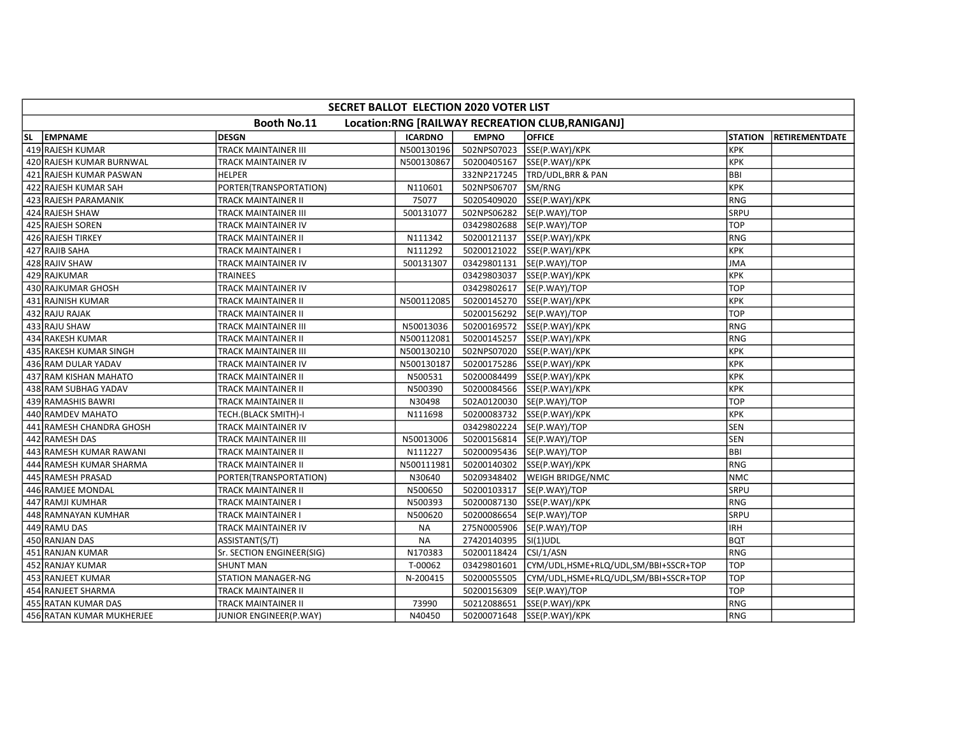|     | SECRET BALLOT ELECTION 2020 VOTER LIST                                 |                             |                |              |                                      |                |                       |  |  |  |
|-----|------------------------------------------------------------------------|-----------------------------|----------------|--------------|--------------------------------------|----------------|-----------------------|--|--|--|
|     | <b>Booth No.11</b><br>Location:RNG [RAILWAY RECREATION CLUB, RANIGANJ] |                             |                |              |                                      |                |                       |  |  |  |
| SL. | <b>EMPNAME</b>                                                         | <b>DESGN</b>                | <b>ICARDNO</b> | <b>EMPNO</b> | <b>OFFICE</b>                        | <b>STATION</b> | <b>RETIREMENTDATE</b> |  |  |  |
|     | 419 RAJESH KUMAR                                                       | <b>TRACK MAINTAINER III</b> | N500130196     | 502NPS07023  | SSE(P.WAY)/KPK                       | Ікрк           |                       |  |  |  |
|     | 420 RAJESH KUMAR BURNWAL                                               | TRACK MAINTAINER IV         | N500130867     | 50200405167  | SSE(P.WAY)/KPK                       | KPK            |                       |  |  |  |
|     | 421 RAJESH KUMAR PASWAN                                                | <b>HELPER</b>               |                | 332NP217245  | TRD/UDL, BRR & PAN                   | <b>BBI</b>     |                       |  |  |  |
|     | 422 RAJESH KUMAR SAH                                                   | PORTER(TRANSPORTATION)      | N110601        | 502NPS06707  | SM/RNG                               | KPK            |                       |  |  |  |
|     | 423 RAJESH PARAMANIK                                                   | <b>TRACK MAINTAINER II</b>  | 75077          | 50205409020  | SSE(P.WAY)/KPK                       | RNG            |                       |  |  |  |
|     | 424 RAJESH SHAW                                                        | TRACK MAINTAINER III        | 500131077      | 502NPS06282  | SE(P.WAY)/TOP                        | SRPU           |                       |  |  |  |
|     | 425 RAJESH SOREN                                                       | TRACK MAINTAINER IV         |                | 03429802688  | SE(P.WAY)/TOP                        | <b>TOP</b>     |                       |  |  |  |
|     | 426 RAJESH TIRKEY                                                      | TRACK MAINTAINER II         | N111342        | 50200121137  | SSE(P.WAY)/KPK                       | RNG            |                       |  |  |  |
|     | 427 RAJIB SAHA                                                         | <b>TRACK MAINTAINER I</b>   | N111292        | 50200121022  | SSE(P.WAY)/KPK                       | KPK            |                       |  |  |  |
|     | 428 RAJIV SHAW                                                         | TRACK MAINTAINER IV         | 500131307      |              | 03429801131  SE(P.WAY)/TOP           | <b>JMA</b>     |                       |  |  |  |
|     | 429 RAJKUMAR                                                           | <b>TRAINEES</b>             |                | 03429803037  | SSE(P.WAY)/KPK                       | KPK            |                       |  |  |  |
|     | 430 RAJKUMAR GHOSH                                                     | TRACK MAINTAINER IV         |                |              | 03429802617  SE(P.WAY)/TOP           | <b>TOP</b>     |                       |  |  |  |
|     | 431 RAJNISH KUMAR                                                      | TRACK MAINTAINER II         | N500112085     | 50200145270  | SSE(P.WAY)/KPK                       | KPK            |                       |  |  |  |
|     | 432 RAJU RAJAK                                                         | <b>TRACK MAINTAINER II</b>  |                | 50200156292  | SE(P.WAY)/TOP                        | <b>TOP</b>     |                       |  |  |  |
|     | 433 RAJU SHAW                                                          | <b>TRACK MAINTAINER III</b> | N50013036      |              | 50200169572 SSE(P.WAY)/KPK           | RNG            |                       |  |  |  |
|     | 434 RAKESH KUMAR                                                       | TRACK MAINTAINER II         | N500112081     | 50200145257  | SSE(P.WAY)/KPK                       | RNG            |                       |  |  |  |
|     | 435 RAKESH KUMAR SINGH                                                 | TRACK MAINTAINER III        | N500130210     | 502NPS07020  | SSE(P.WAY)/KPK                       | KPK            |                       |  |  |  |
|     | 436 RAM DULAR YADAV                                                    | TRACK MAINTAINER IV         | N500130187     | 50200175286  | SSE(P.WAY)/KPK                       | KPK            |                       |  |  |  |
|     | 437 RAM KISHAN MAHATO                                                  | <b>TRACK MAINTAINER II</b>  | N500531        | 50200084499  | SSE(P.WAY)/KPK                       | KPK            |                       |  |  |  |
|     | 438 RAM SUBHAG YADAV                                                   | TRACK MAINTAINER II         | N500390        | 50200084566  | SSE(P.WAY)/KPK                       | <b>KPK</b>     |                       |  |  |  |
|     | 439 RAMASHIS BAWRI                                                     | TRACK MAINTAINER II         | N30498         | 502A0120030  | SE(P.WAY)/TOP                        | <b>TOP</b>     |                       |  |  |  |
|     | 440 RAMDEV MAHATO                                                      | TECH.(BLACK SMITH)-I        | N111698        |              | 50200083732 SSE(P.WAY)/KPK           | <b>KPK</b>     |                       |  |  |  |
|     | 441 RAMESH CHANDRA GHOSH                                               | TRACK MAINTAINER IV         |                | 03429802224  | SE(P.WAY)/TOP                        | <b>SEN</b>     |                       |  |  |  |
|     | 442 RAMESH DAS                                                         | <b>TRACK MAINTAINER III</b> | N50013006      |              | 50200156814  SE(P.WAY)/TOP           | <b>SEN</b>     |                       |  |  |  |
|     | 443 RAMESH KUMAR RAWANI                                                | <b>TRACK MAINTAINER II</b>  | N111227        | 50200095436  | SE(P.WAY)/TOP                        | BBI            |                       |  |  |  |
|     | 444 RAMESH KUMAR SHARMA                                                | TRACK MAINTAINER II         | N50011198      | 50200140302  | SSE(P.WAY)/KPK                       | RNG            |                       |  |  |  |
|     | 445 RAMESH PRASAD                                                      | PORTER(TRANSPORTATION)      | N30640         | 50209348402  | <b>WEIGH BRIDGE/NMC</b>              | <b>NMC</b>     |                       |  |  |  |
|     | 446 RAMJEE MONDAL                                                      | TRACK MAINTAINER II         | N500650        | 50200103317  | SE(P.WAY)/TOP                        | <b>SRPU</b>    |                       |  |  |  |
|     | 447 RAMJI KUMHAR                                                       | <b>TRACK MAINTAINER I</b>   | N500393        | 50200087130  | SSE(P.WAY)/KPK                       | RNG            |                       |  |  |  |
|     | 448 RAMNAYAN KUMHAR                                                    | TRACK MAINTAINER I          | N500620        | 50200086654  | SE(P.WAY)/TOP                        | <b>SRPU</b>    |                       |  |  |  |
|     | 449 RAMU DAS                                                           | TRACK MAINTAINER IV         | <b>NA</b>      | 275N0005906  | SE(P.WAY)/TOP                        | <b>IRH</b>     |                       |  |  |  |
|     | 450 RANJAN DAS                                                         | ASSISTANT(S/T)              | <b>NA</b>      | 27420140395  | $\vert$ SI(1)UDL                     | <b>BQT</b>     |                       |  |  |  |
|     | 451 RANJAN KUMAR                                                       | Sr. SECTION ENGINEER(SIG)   | N170383        | 50200118424  | CSI/1/ASN                            | RNG            |                       |  |  |  |
|     | 452 RANJAY KUMAR                                                       | <b>SHUNT MAN</b>            | T-00062        | 03429801601  | CYM/UDL,HSME+RLQ/UDL,SM/BBI+SSCR+TOP | <b>TOP</b>     |                       |  |  |  |
|     | 453 RANJEET KUMAR                                                      | <b>STATION MANAGER-NG</b>   | N-200415       | 50200055505  | CYM/UDL,HSME+RLQ/UDL,SM/BBI+SSCR+TOP | <b>TOP</b>     |                       |  |  |  |
|     | 454 RANJEET SHARMA                                                     | TRACK MAINTAINER II         |                | 50200156309  | SE(P.WAY)/TOP                        | <b>TOP</b>     |                       |  |  |  |
|     | 455 RATAN KUMAR DAS                                                    | TRACK MAINTAINER II         | 73990          | 50212088651  | SSE(P.WAY)/KPK                       | RNG            |                       |  |  |  |
|     | 456 RATAN KUMAR MUKHERJEE                                              | JUNIOR ENGINEER(P.WAY)      | N40450         |              | 50200071648 SSE(P.WAY)/KPK           | RNG            |                       |  |  |  |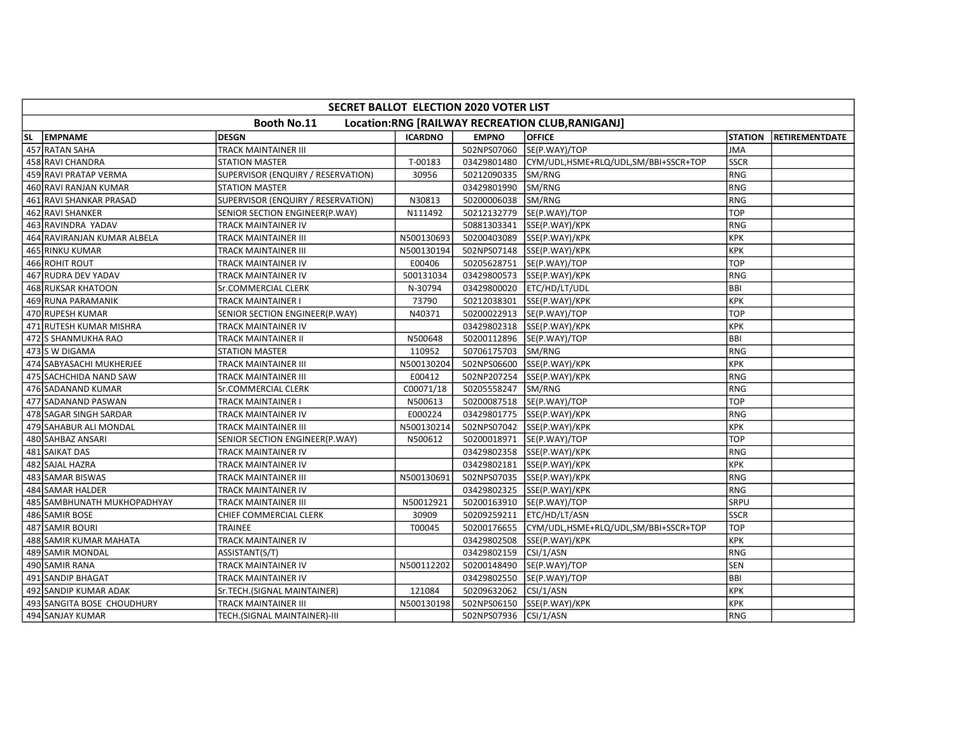|                                                                        | SECRET BALLOT ELECTION 2020 VOTER LIST |                                    |                |              |                                      |                |                       |  |  |
|------------------------------------------------------------------------|----------------------------------------|------------------------------------|----------------|--------------|--------------------------------------|----------------|-----------------------|--|--|
| <b>Booth No.11</b><br>Location:RNG [RAILWAY RECREATION CLUB, RANIGANJ] |                                        |                                    |                |              |                                      |                |                       |  |  |
| SL.                                                                    | <b>EMPNAME</b>                         | <b>DESGN</b>                       | <b>ICARDNO</b> | <b>EMPNO</b> | <b>OFFICE</b>                        | <b>STATION</b> | <b>RETIREMENTDATE</b> |  |  |
|                                                                        | 457 RATAN SAHA                         | <b>TRACK MAINTAINER III</b>        |                | 502NPS07060  | SE(P.WAY)/TOP                        | <b>JMA</b>     |                       |  |  |
|                                                                        | 458 RAVI CHANDRA                       | <b>STATION MASTER</b>              | T-00183        | 03429801480  | CYM/UDL,HSME+RLQ/UDL,SM/BBI+SSCR+TOP | <b>SSCR</b>    |                       |  |  |
|                                                                        | 459 RAVI PRATAP VERMA                  | SUPERVISOR (ENQUIRY / RESERVATION) | 30956          | 50212090335  | SM/RNG                               | RNG            |                       |  |  |
|                                                                        | 460 RAVI RANJAN KUMAR                  | <b>STATION MASTER</b>              |                | 03429801990  | SM/RNG                               | RNG            |                       |  |  |
|                                                                        | 461 RAVI SHANKAR PRASAD                | SUPERVISOR (ENQUIRY / RESERVATION) | N30813         | 50200006038  | SM/RNG                               | RNG            |                       |  |  |
|                                                                        | 462 RAVI SHANKER                       | SENIOR SECTION ENGINEER(P.WAY)     | N111492        | 50212132779  | SE(P.WAY)/TOP                        | <b>TOP</b>     |                       |  |  |
|                                                                        | 463 RAVINDRA YADAV                     | TRACK MAINTAINER IV                |                | 50881303341  | SSE(P.WAY)/KPK                       | RNG            |                       |  |  |
|                                                                        | 464 RAVIRANJAN KUMAR ALBELA            | TRACK MAINTAINER III               | N500130693     | 50200403089  | SSE(P.WAY)/KPK                       | <b>KPK</b>     |                       |  |  |
|                                                                        | 465 RINKU KUMAR                        | TRACK MAINTAINER III               | N500130194     | 502NPS07148  | SSE(P.WAY)/KPK                       | KPK            |                       |  |  |
|                                                                        | 466 ROHIT ROUT                         | TRACK MAINTAINER IV                | E00406         |              | 50205628751  SE(P.WAY)/TOP           | <b>TOP</b>     |                       |  |  |
|                                                                        | 467 RUDRA DEV YADAV                    | TRACK MAINTAINER IV                | 500131034      | 03429800573  | SSE(P.WAY)/KPK                       | RNG            |                       |  |  |
|                                                                        | 468 RUKSAR KHATOON                     | Sr.COMMERCIAL CLERK                | N-30794        | 03429800020  | ETC/HD/LT/UDL                        | <b>BBI</b>     |                       |  |  |
|                                                                        | 469 RUNA PARAMANIK                     | TRACK MAINTAINER I                 | 73790          | 50212038301  | SSE(P.WAY)/KPK                       | KPK            |                       |  |  |
|                                                                        | 470 RUPESH KUMAR                       | SENIOR SECTION ENGINEER(P.WAY)     | N40371         | 50200022913  | SE(P.WAY)/TOP                        | <b>TOP</b>     |                       |  |  |
|                                                                        | 471 RUTESH KUMAR MISHRA                | TRACK MAINTAINER IV                |                | 03429802318  | SSE(P.WAY)/KPK                       | KPK            |                       |  |  |
|                                                                        | 472 S SHANMUKHA RAO                    | TRACK MAINTAINER II                | N500648        | 50200112896  | SE(P.WAY)/TOP                        | <b>BBI</b>     |                       |  |  |
|                                                                        | 473 S W DIGAMA                         | <b>STATION MASTER</b>              | 110952         | 50706175703  | SM/RNG                               | l RNG          |                       |  |  |
|                                                                        | 474 SABYASACHI MUKHERJEE               | TRACK MAINTAINER III               | N500130204     | 502NPS06600  | SSE(P.WAY)/KPK                       | <b>KPK</b>     |                       |  |  |
|                                                                        | 475 SACHCHIDA NAND SAW                 | <b>TRACK MAINTAINER III</b>        | E00412         |              | 502NP207254 SSE(P.WAY)/KPK           | RNG            |                       |  |  |
|                                                                        | 476 SADANAND KUMAR                     | <b>Sr.COMMERCIAL CLERK</b>         | C00071/18      | 50205558247  | SM/RNG                               | RNG            |                       |  |  |
|                                                                        | 477 SADANAND PASWAN                    | TRACK MAINTAINER I                 | N500613        | 50200087518  | SE(P.WAY)/TOP                        | <b>TOP</b>     |                       |  |  |
|                                                                        | 478 SAGAR SINGH SARDAR                 | TRACK MAINTAINER IV                | E000224        | 03429801775  | SSE(P.WAY)/KPK                       | RNG            |                       |  |  |
|                                                                        | 479 SAHABUR ALI MONDAL                 | TRACK MAINTAINER III               | N500130214     | 502NPS07042  | SSE(P.WAY)/KPK                       | <b>KPK</b>     |                       |  |  |
|                                                                        | 480 SAHBAZ ANSARI                      | SENIOR SECTION ENGINEER(P.WAY)     | N500612        |              | 50200018971  SE(P.WAY)/TOP           | TOP            |                       |  |  |
|                                                                        | 481 SAIKAT DAS                         | <b>TRACK MAINTAINER IV</b>         |                | 03429802358  | SSE(P.WAY)/KPK                       | RNG            |                       |  |  |
|                                                                        | 482 SAJAL HAZRA                        | TRACK MAINTAINER IV                |                | 03429802181  | SSE(P.WAY)/KPK                       | KPK            |                       |  |  |
|                                                                        | 483 SAMAR BISWAS                       | TRACK MAINTAINER III               | N500130691     | 502NPS07035  | SSE(P.WAY)/KPK                       | RNG            |                       |  |  |
|                                                                        | 484 SAMAR HALDER                       | TRACK MAINTAINER IV                |                | 03429802325  | SSE(P.WAY)/KPK                       | RNG            |                       |  |  |
|                                                                        | 485 SAMBHUNATH MUKHOPADHYAY            | TRACK MAINTAINER III               | N50012921      | 50200163910  | SE(P.WAY)/TOP                        | SRPU           |                       |  |  |
|                                                                        | 486 SAMIR BOSE                         | CHIEF COMMERCIAL CLERK             | 30909          | 50209259211  | ETC/HD/LT/ASN                        | <b>SSCR</b>    |                       |  |  |
|                                                                        | 487 SAMIR BOURI                        | TRAINEE                            | T00045         | 50200176655  | CYM/UDL,HSME+RLQ/UDL,SM/BBI+SSCR+TOP | TOP            |                       |  |  |
|                                                                        | 488 SAMIR KUMAR MAHATA                 | TRACK MAINTAINER IV                |                | 03429802508  | SSE(P.WAY)/KPK                       | KPK            |                       |  |  |
|                                                                        | 489 SAMIR MONDAL                       | ASSISTANT(S/T)                     |                | 03429802159  | CSI/1/ASN                            | RNG            |                       |  |  |
|                                                                        | 490 SAMIR RANA                         | TRACK MAINTAINER IV                | N500112202     | 50200148490  | SE(P.WAY)/TOP                        | <b>SEN</b>     |                       |  |  |
|                                                                        | 491 SANDIP BHAGAT                      | TRACK MAINTAINER IV                |                | 03429802550  | SE(P.WAY)/TOP                        | <b>BBI</b>     |                       |  |  |
|                                                                        | 492 SANDIP KUMAR ADAK                  | Sr.TECH.(SIGNAL MAINTAINER)        | 121084         | 50209632062  | CSI/1/ASN                            | KPK            |                       |  |  |
|                                                                        | 493 SANGITA BOSE CHOUDHURY             | TRACK MAINTAINER III               | N500130198     | 502NPS06150  | SSE(P.WAY)/KPK                       | <b>KPK</b>     |                       |  |  |
|                                                                        | 494 SANJAY KUMAR                       | TECH.(SIGNAL MAINTAINER)-III       |                | 502NPS07936  | $\left $ CSI/1/ASN                   | RNG            |                       |  |  |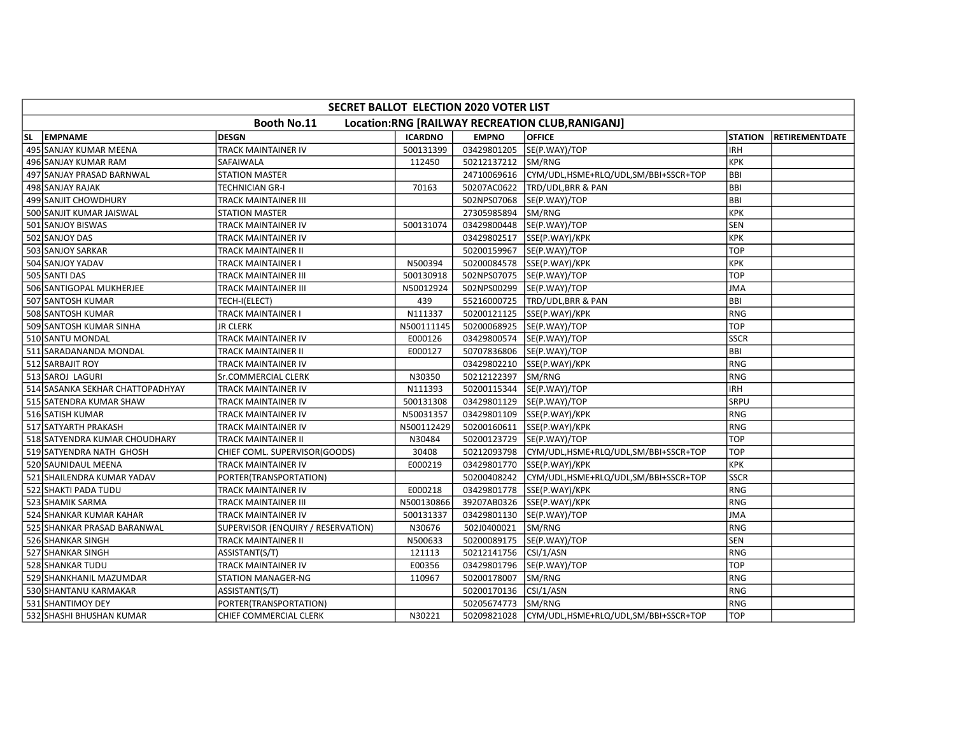|                                                                        | SECRET BALLOT ELECTION 2020 VOTER LIST |                                    |                |              |                                      |                |                       |  |  |
|------------------------------------------------------------------------|----------------------------------------|------------------------------------|----------------|--------------|--------------------------------------|----------------|-----------------------|--|--|
| <b>Booth No.11</b><br>Location:RNG [RAILWAY RECREATION CLUB, RANIGANJ] |                                        |                                    |                |              |                                      |                |                       |  |  |
| <b>SL</b>                                                              | <b>EMPNAME</b>                         | <b>DESGN</b>                       | <b>ICARDNO</b> | <b>EMPNO</b> | <b>OFFICE</b>                        | <b>STATION</b> | <b>RETIREMENTDATE</b> |  |  |
|                                                                        | 495 SANJAY KUMAR MEENA                 | <b>TRACK MAINTAINER IV</b>         | 500131399      | 03429801205  | SE(P.WAY)/TOP                        | <b>IRH</b>     |                       |  |  |
|                                                                        | 496 SANJAY KUMAR RAM                   | SAFAIWALA                          | 112450         | 50212137212  | SM/RNG                               | KPK            |                       |  |  |
|                                                                        | 497 SANJAY PRASAD BARNWAL              | <b>STATION MASTER</b>              |                | 24710069616  | CYM/UDL,HSME+RLQ/UDL,SM/BBI+SSCR+TOP | <b>BBI</b>     |                       |  |  |
|                                                                        | 498 SANJAY RAJAK                       | TECHNICIAN GR-I                    | 70163          | 50207AC0622  | TRD/UDL, BRR & PAN                   | BBI            |                       |  |  |
|                                                                        | 499 SANJIT CHOWDHURY                   | TRACK MAINTAINER III               |                | 502NPS07068  | SE(P.WAY)/TOP                        | Івві           |                       |  |  |
|                                                                        | 500 SANJIT KUMAR JAISWAL               | <b>STATION MASTER</b>              |                | 27305985894  | SM/RNG                               | KPK            |                       |  |  |
|                                                                        | 501 SANJOY BISWAS                      | TRACK MAINTAINER IV                | 500131074      | 03429800448  | SE(P.WAY)/TOP                        | SEN            |                       |  |  |
|                                                                        | 502 SANJOY DAS                         | TRACK MAINTAINER IV                |                | 03429802517  | SSE(P.WAY)/KPK                       | KPK            |                       |  |  |
|                                                                        | 503 SANJOY SARKAR                      | TRACK MAINTAINER II                |                | 50200159967  | SE(P.WAY)/TOP                        | <b>TOP</b>     |                       |  |  |
|                                                                        | 504 SANJOY YADAV                       | TRACK MAINTAINER I                 | N500394        | 50200084578  | SSE(P.WAY)/KPK                       | Ікрк           |                       |  |  |
|                                                                        | 505 SANTI DAS                          | TRACK MAINTAINER III               | 500130918      | 502NPS07075  | SE(P.WAY)/TOP                        | <b>TOP</b>     |                       |  |  |
|                                                                        | 506 SANTIGOPAL MUKHERJEE               | TRACK MAINTAINER III               | N50012924      |              | 502NPS00299  SE(P.WAY)/TOP           | <b>JMA</b>     |                       |  |  |
|                                                                        | 507 SANTOSH KUMAR                      | TECH-I(ELECT)                      | 439            | 55216000725  | TRD/UDL, BRR & PAN                   | <b>BBI</b>     |                       |  |  |
|                                                                        | 508 SANTOSH KUMAR                      | TRACK MAINTAINER I                 | N111337        | 50200121125  | SSE(P.WAY)/KPK                       | RNG            |                       |  |  |
|                                                                        | 509 SANTOSH KUMAR SINHA                | <b>JR CLERK</b>                    | N500111145     | 50200068925  | SE(P.WAY)/TOP                        | <b>TOP</b>     |                       |  |  |
|                                                                        | 510 SANTU MONDAL                       | TRACK MAINTAINER IV                | E000126        | 03429800574  | SE(P.WAY)/TOP                        | <b>SSCR</b>    |                       |  |  |
|                                                                        | 511 SARADANANDA MONDAL                 | TRACK MAINTAINER II                | E000127        | 50707836806  | SE(P.WAY)/TOP                        | <b>BBI</b>     |                       |  |  |
|                                                                        | 512 SARBAJIT ROY                       | TRACK MAINTAINER IV                |                | 03429802210  | SSE(P.WAY)/KPK                       | RNG            |                       |  |  |
|                                                                        | 513 SAROJ LAGURI                       | <b>Sr.COMMERCIAL CLERK</b>         | N30350         | 50212122397  | SM/RNG                               | RNG            |                       |  |  |
|                                                                        | 514 SASANKA SEKHAR CHATTOPADHYAY       | TRACK MAINTAINER IV                | N111393        |              | 50200115344 SE(P.WAY)/TOP            | <b>IRH</b>     |                       |  |  |
|                                                                        | 515 SATENDRA KUMAR SHAW                | TRACK MAINTAINER IV                | 500131308      | 03429801129  | SE(P.WAY)/TOP                        | SRPU           |                       |  |  |
|                                                                        | 516 SATISH KUMAR                       | TRACK MAINTAINER IV                | N50031357      | 03429801109  | SSE(P.WAY)/KPK                       | RNG            |                       |  |  |
|                                                                        | 517 SATYARTH PRAKASH                   | TRACK MAINTAINER IV                | N500112429     | 50200160611  | SSE(P.WAY)/KPK                       | RNG            |                       |  |  |
|                                                                        | 518 SATYENDRA KUMAR CHOUDHARY          | TRACK MAINTAINER II                | N30484         | 50200123729  | SE(P.WAY)/TOP                        | <b>TOP</b>     |                       |  |  |
|                                                                        | 519 SATYENDRA NATH GHOSH               | CHIEF COML. SUPERVISOR(GOODS)      | 30408          | 50212093798  | CYM/UDL,HSME+RLQ/UDL,SM/BBI+SSCR+TOP | <b>TOP</b>     |                       |  |  |
|                                                                        | 520 SAUNIDAUL MEENA                    | TRACK MAINTAINER IV                | E000219        | 03429801770  | SSE(P.WAY)/KPK                       | KPK            |                       |  |  |
|                                                                        | 521 SHAILENDRA KUMAR YADAV             | PORTER(TRANSPORTATION)             |                | 50200408242  | CYM/UDL,HSME+RLQ/UDL,SM/BBI+SSCR+TOP | <b>SSCR</b>    |                       |  |  |
|                                                                        | 522 SHAKTI PADA TUDU                   | TRACK MAINTAINER IV                | E000218        | 03429801778  | SSE(P.WAY)/KPK                       | RNG            |                       |  |  |
|                                                                        | 523 SHAMIK SARMA                       | TRACK MAINTAINER III               | N500130866     | 39207AB0326  | SSE(P.WAY)/KPK                       | RNG            |                       |  |  |
|                                                                        | 524 SHANKAR KUMAR KAHAR                | TRACK MAINTAINER IV                | 500131337      | 03429801130  | SE(P.WAY)/TOP                        | JMA            |                       |  |  |
|                                                                        | 525 SHANKAR PRASAD BARANWAL            | SUPERVISOR (ENQUIRY / RESERVATION) | N30676         | 502J0400021  | SM/RNG                               | RNG            |                       |  |  |
|                                                                        | 526 SHANKAR SINGH                      | TRACK MAINTAINER II                | N500633        | 50200089175  | SE(P.WAY)/TOP                        | <b>SEN</b>     |                       |  |  |
|                                                                        | 527 SHANKAR SINGH                      | ASSISTANT(S/T)                     | 121113         | 50212141756  | CSI/1/ASN                            | RNG            |                       |  |  |
|                                                                        | 528 SHANKAR TUDU                       | TRACK MAINTAINER IV                | E00356         | 03429801796  | SE(P.WAY)/TOP                        | <b>TOP</b>     |                       |  |  |
|                                                                        | 529 SHANKHANIL MAZUMDAR                | <b>STATION MANAGER-NG</b>          | 110967         | 50200178007  | SM/RNG                               | RNG            |                       |  |  |
|                                                                        | 530 SHANTANU KARMAKAR                  | ASSISTANT(S/T)                     |                | 50200170136  | CSI/1/ASN                            | RNG            |                       |  |  |
|                                                                        | 531 SHANTIMOY DEY                      | PORTER(TRANSPORTATION)             |                | 50205674773  | SM/RNG                               | RNG            |                       |  |  |
|                                                                        | 532 SHASHI BHUSHAN KUMAR               | CHIEF COMMERCIAL CLERK             | N30221         | 50209821028  | CYM/UDL,HSME+RLQ/UDL,SM/BBI+SSCR+TOP | <b>TOP</b>     |                       |  |  |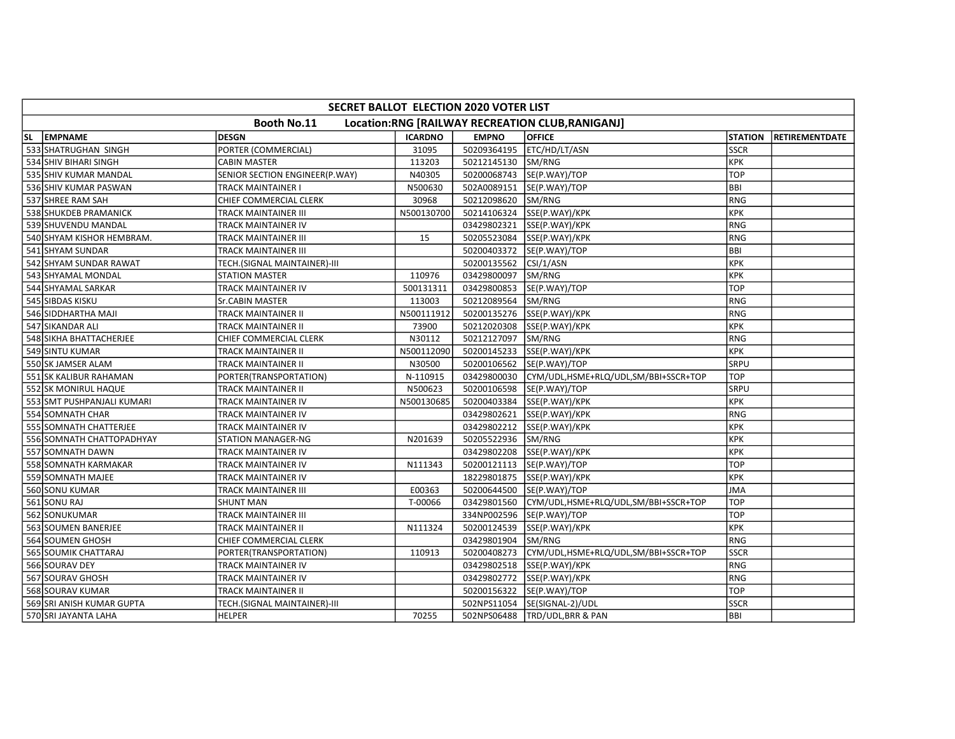| SECRET BALLOT ELECTION 2020 VOTER LIST                                 |                            |                                |                |              |                                      |                |                        |  |  |
|------------------------------------------------------------------------|----------------------------|--------------------------------|----------------|--------------|--------------------------------------|----------------|------------------------|--|--|
| <b>Booth No.11</b><br>Location:RNG [RAILWAY RECREATION CLUB, RANIGANJ] |                            |                                |                |              |                                      |                |                        |  |  |
| <b>SL</b>                                                              | <b>EMPNAME</b>             | <b>DESGN</b>                   | <b>ICARDNO</b> | <b>EMPNO</b> | <b>OFFICE</b>                        | <b>STATION</b> | <b>IRETIREMENTDATE</b> |  |  |
|                                                                        | 533 SHATRUGHAN SINGH       | PORTER (COMMERCIAL)            | 31095          | 50209364195  | ETC/HD/LT/ASN                        | <b>SSCR</b>    |                        |  |  |
|                                                                        | 534 SHIV BIHARI SINGH      | <b>CABIN MASTER</b>            | 113203         | 50212145130  | SM/RNG                               | <b>KPK</b>     |                        |  |  |
|                                                                        | 535 SHIV KUMAR MANDAL      | SENIOR SECTION ENGINEER(P.WAY) | N40305         | 50200068743  | SE(P.WAY)/TOP                        | TOP            |                        |  |  |
|                                                                        | 536 SHIV KUMAR PASWAN      | TRACK MAINTAINER I             | N500630        | 502A0089151  | SE(P.WAY)/TOP                        | BBI            |                        |  |  |
|                                                                        | 537 SHREE RAM SAH          | CHIEF COMMERCIAL CLERK         | 30968          | 50212098620  | SM/RNG                               | <b>RNG</b>     |                        |  |  |
|                                                                        | 538 SHUKDEB PRAMANICK      | TRACK MAINTAINER III           | N500130700     | 50214106324  | SSE(P.WAY)/KPK                       | KPK            |                        |  |  |
|                                                                        | 539 SHUVENDU MANDAL        | TRACK MAINTAINER IV            |                | 03429802321  | SSE(P.WAY)/KPK                       | <b>RNG</b>     |                        |  |  |
|                                                                        | 540 SHYAM KISHOR HEMBRAM.  | TRACK MAINTAINER III           | 15             | 50205523084  | SSE(P.WAY)/KPK                       | <b>RNG</b>     |                        |  |  |
|                                                                        | 541 SHYAM SUNDAR           | TRACK MAINTAINER III           |                | 50200403372  | SE(P.WAY)/TOP                        | <b>BBI</b>     |                        |  |  |
|                                                                        | 542 SHYAM SUNDAR RAWAT     | TECH.(SIGNAL MAINTAINER)-III   |                | 50200135562  | CSI/1/ASN                            | <b>KPK</b>     |                        |  |  |
|                                                                        | 543 SHYAMAL MONDAL         | <b>STATION MASTER</b>          | 110976         | 03429800097  | SM/RNG                               | <b>KPK</b>     |                        |  |  |
|                                                                        | 544 SHYAMAL SARKAR         | TRACK MAINTAINER IV            | 500131311      | 03429800853  | SE(P.WAY)/TOP                        | TOP            |                        |  |  |
|                                                                        | 545 SIBDAS KISKU           | Sr.CABIN MASTER                | 113003         | 50212089564  | SM/RNG                               | <b>RNG</b>     |                        |  |  |
|                                                                        | 546 SIDDHARTHA MAJI        | TRACK MAINTAINER II            | N500111912     | 50200135276  | SSE(P.WAY)/KPK                       | <b>RNG</b>     |                        |  |  |
|                                                                        | 547 SIKANDAR ALI           | TRACK MAINTAINER II            | 73900          | 50212020308  | SSE(P.WAY)/KPK                       | <b>KPK</b>     |                        |  |  |
|                                                                        | 548 SIKHA BHATTACHERJEE    | CHIEF COMMERCIAL CLERK         | N30112         | 50212127097  | SM/RNG                               | RNG            |                        |  |  |
|                                                                        | 549 SINTU KUMAR            | TRACK MAINTAINER II            | N500112090     | 50200145233  | SSE(P.WAY)/KPK                       | <b>KPK</b>     |                        |  |  |
|                                                                        | 550 SK JAMSER ALAM         | TRACK MAINTAINER II            | N30500         | 50200106562  | SE(P.WAY)/TOP                        | SRPU           |                        |  |  |
|                                                                        | 551 SK KALIBUR RAHAMAN     | PORTER(TRANSPORTATION)         | N-110915       | 03429800030  | CYM/UDL,HSME+RLQ/UDL,SM/BBI+SSCR+TOP | <b>TOP</b>     |                        |  |  |
|                                                                        | 552 SK MONIRUL HAQUE       | <b>TRACK MAINTAINER II</b>     | N500623        | 50200106598  | SE(P.WAY)/TOP                        | SRPU           |                        |  |  |
|                                                                        | 553 SMT PUSHPANJALI KUMARI | TRACK MAINTAINER IV            | N500130685     |              | 50200403384 SSE(P.WAY)/KPK           | <b>KPK</b>     |                        |  |  |
|                                                                        | 554 SOMNATH CHAR           | TRACK MAINTAINER IV            |                | 03429802621  | SSE(P.WAY)/KPK                       | <b>RNG</b>     |                        |  |  |
|                                                                        | 555 SOMNATH CHATTERJEE     | TRACK MAINTAINER IV            |                | 03429802212  | SSE(P.WAY)/KPK                       | <b>KPK</b>     |                        |  |  |
|                                                                        | 556 SOMNATH CHATTOPADHYAY  | <b>STATION MANAGER-NG</b>      | N201639        | 50205522936  | SM/RNG                               | <b>KPK</b>     |                        |  |  |
|                                                                        | 557 SOMNATH DAWN           | TRACK MAINTAINER IV            |                | 03429802208  | SSE(P.WAY)/KPK                       | <b>KPK</b>     |                        |  |  |
|                                                                        | 558 SOMNATH KARMAKAR       | TRACK MAINTAINER IV            | N111343        | 50200121113  | SE(P.WAY)/TOP                        | TOP            |                        |  |  |
|                                                                        | 559 SOMNATH MAJEE          | TRACK MAINTAINER IV            |                | 18229801875  | SSE(P.WAY)/KPK                       | <b>KPK</b>     |                        |  |  |
|                                                                        | 560 SONU KUMAR             | TRACK MAINTAINER III           | E00363         | 50200644500  | SE(P.WAY)/TOP                        | <b>JMA</b>     |                        |  |  |
|                                                                        | 561 SONU RAJ               | <b>SHUNT MAN</b>               | T-00066        | 03429801560  | CYM/UDL,HSME+RLQ/UDL,SM/BBI+SSCR+TOP | <b>TOP</b>     |                        |  |  |
|                                                                        | 562 SONUKUMAR              | TRACK MAINTAINER III           |                |              | 334NP002596  SE(P.WAY)/TOP           | <b>TOP</b>     |                        |  |  |
|                                                                        | 563 SOUMEN BANERJEE        | TRACK MAINTAINER II            | N111324        | 50200124539  | SSE(P.WAY)/KPK                       | <b>KPK</b>     |                        |  |  |
|                                                                        | 564 SOUMEN GHOSH           | CHIEF COMMERCIAL CLERK         |                | 03429801904  | SM/RNG                               | <b>RNG</b>     |                        |  |  |
|                                                                        | 565 SOUMIK CHATTARAJ       | PORTER(TRANSPORTATION)         | 110913         | 50200408273  | CYM/UDL,HSME+RLQ/UDL,SM/BBI+SSCR+TOP | <b>SSCR</b>    |                        |  |  |
|                                                                        | 566 SOURAV DEY             | TRACK MAINTAINER IV            |                | 03429802518  | SSE(P.WAY)/KPK                       | <b>RNG</b>     |                        |  |  |
|                                                                        | 567 SOURAV GHOSH           | TRACK MAINTAINER IV            |                | 03429802772  | SSE(P.WAY)/KPK                       | <b>RNG</b>     |                        |  |  |
|                                                                        | 568 SOURAV KUMAR           | TRACK MAINTAINER II            |                | 50200156322  | SE(P.WAY)/TOP                        | <b>TOP</b>     |                        |  |  |
|                                                                        | 569 SRI ANISH KUMAR GUPTA  | TECH.(SIGNAL MAINTAINER)-III   |                | 502NPS11054  | SE(SIGNAL-2)/UDL                     | <b>SSCR</b>    |                        |  |  |
|                                                                        | 570 SRI JAYANTA LAHA       | <b>HELPER</b>                  | 70255          | 502NPS06488  | <b>TRD/UDL, BRR &amp; PAN</b>        | <b>BBI</b>     |                        |  |  |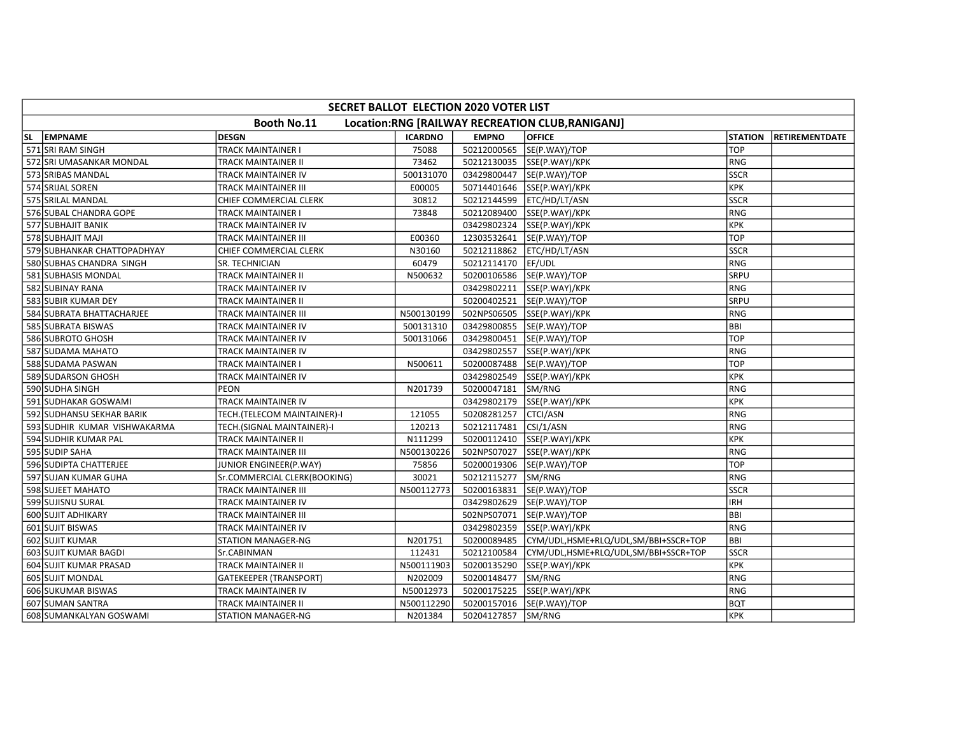|                                                                        | SECRET BALLOT ELECTION 2020 VOTER LIST |                               |                |              |                                      |                |                       |  |  |
|------------------------------------------------------------------------|----------------------------------------|-------------------------------|----------------|--------------|--------------------------------------|----------------|-----------------------|--|--|
| <b>Booth No.11</b><br>Location:RNG [RAILWAY RECREATION CLUB, RANIGANJ] |                                        |                               |                |              |                                      |                |                       |  |  |
| <b>SL</b>                                                              | <b>EMPNAME</b>                         | <b>DESGN</b>                  | <b>ICARDNO</b> | <b>EMPNO</b> | <b>OFFICE</b>                        | <b>STATION</b> | <b>RETIREMENTDATE</b> |  |  |
|                                                                        | 571 SRI RAM SINGH                      | <b>TRACK MAINTAINER I</b>     | 75088          | 50212000565  | SE(P.WAY)/TOP                        | <b>TOP</b>     |                       |  |  |
|                                                                        | 572 SRI UMASANKAR MONDAL               | TRACK MAINTAINER II           | 73462          |              | 50212130035 SSE(P.WAY)/KPK           | RNG            |                       |  |  |
|                                                                        | 573 SRIBAS MANDAL                      | TRACK MAINTAINER IV           | 500131070      | 03429800447  | SE(P.WAY)/TOP                        | <b>SSCR</b>    |                       |  |  |
|                                                                        | 574 SRIJAL SOREN                       | TRACK MAINTAINER III          | E00005         | 50714401646  | SSE(P.WAY)/KPK                       | KPK            |                       |  |  |
|                                                                        | 575 SRILAL MANDAL                      | CHIEF COMMERCIAL CLERK        | 30812          | 50212144599  | ETC/HD/LT/ASN                        | <b>SSCR</b>    |                       |  |  |
|                                                                        | 576 SUBAL CHANDRA GOPE                 | TRACK MAINTAINER I            | 73848          | 50212089400  | SSE(P.WAY)/KPK                       | RNG            |                       |  |  |
|                                                                        | 577 SUBHAJIT BANIK                     | TRACK MAINTAINER IV           |                | 03429802324  | SSE(P.WAY)/KPK                       | KPK            |                       |  |  |
|                                                                        | 578 SUBHAJIT MAJI                      | TRACK MAINTAINER III          | E00360         | 12303532641  | SE(P.WAY)/TOP                        | <b>TOP</b>     |                       |  |  |
|                                                                        | 579 SUBHANKAR CHATTOPADHYAY            | CHIEF COMMERCIAL CLERK        | N30160         | 50212118862  | ETC/HD/LT/ASN                        | <b>SSCR</b>    |                       |  |  |
|                                                                        | 580 SUBHAS CHANDRA SINGH               | <b>SR. TECHNICIAN</b>         | 60479          | 50212114170  | EF/UDL                               | IRNG           |                       |  |  |
|                                                                        | 581 SUBHASIS MONDAL                    | TRACK MAINTAINER II           | N500632        | 50200106586  | SE(P.WAY)/TOP                        | <b>SRPU</b>    |                       |  |  |
|                                                                        | 582 SUBINAY RANA                       | TRACK MAINTAINER IV           |                | 03429802211  | SSE(P.WAY)/KPK                       | RNG            |                       |  |  |
|                                                                        | 583 SUBIR KUMAR DEY                    | TRACK MAINTAINER II           |                | 50200402521  | SE(P.WAY)/TOP                        | <b>SRPU</b>    |                       |  |  |
|                                                                        | 584 SUBRATA BHATTACHARJEE              | TRACK MAINTAINER III          | N500130199     | 502NPS06505  | SSE(P.WAY)/KPK                       | RNG            |                       |  |  |
|                                                                        | 585 SUBRATA BISWAS                     | TRACK MAINTAINER IV           | 500131310      | 03429800855  | SE(P.WAY)/TOP                        | BBI            |                       |  |  |
|                                                                        | 586 SUBROTO GHOSH                      | TRACK MAINTAINER IV           | 500131066      | 03429800451  | SE(P.WAY)/TOP                        | <b>TOP</b>     |                       |  |  |
|                                                                        | 587 SUDAMA MAHATO                      | TRACK MAINTAINER IV           |                | 03429802557  | SSE(P.WAY)/KPK                       | RNG            |                       |  |  |
|                                                                        | 588 SUDAMA PASWAN                      | TRACK MAINTAINER I            | N500611        | 50200087488  | SE(P.WAY)/TOP                        | <b>TOP</b>     |                       |  |  |
|                                                                        | 589 SUDARSON GHOSH                     | TRACK MAINTAINER IV           |                | 03429802549  | SSE(P.WAY)/KPK                       | KPK            |                       |  |  |
|                                                                        | 590 SUDHA SINGH                        | PEON                          | N201739        | 50200047181  | SM/RNG                               | RNG            |                       |  |  |
|                                                                        | 591 SUDHAKAR GOSWAMI                   | TRACK MAINTAINER IV           |                | 03429802179  | SSE(P.WAY)/KPK                       | KPK            |                       |  |  |
|                                                                        | 592 SUDHANSU SEKHAR BARIK              | TECH.(TELECOM MAINTAINER)-I   | 121055         | 50208281257  | CTCI/ASN                             | RNG            |                       |  |  |
|                                                                        | 593 SUDHIR KUMAR VISHWAKARMA           | TECH.(SIGNAL MAINTAINER)-I    | 120213         | 50212117481  | CSI/1/ASN                            | RNG            |                       |  |  |
|                                                                        | 594 SUDHIR KUMAR PAL                   | TRACK MAINTAINER II           | N111299        | 50200112410  | SSE(P.WAY)/KPK                       | KPK            |                       |  |  |
|                                                                        | 595 SUDIP SAHA                         | TRACK MAINTAINER III          | N500130226     | 502NPS07027  | SSE(P.WAY)/KPK                       | RNG            |                       |  |  |
|                                                                        | 596 SUDIPTA CHATTERJEE                 | JUNIOR ENGINEER(P.WAY)        | 75856          | 50200019306  | SE(P.WAY)/TOP                        | <b>TOP</b>     |                       |  |  |
|                                                                        | 597 SUJAN KUMAR GUHA                   | Sr.COMMERCIAL CLERK(BOOKING)  | 30021          | 50212115277  | SM/RNG                               | RNG            |                       |  |  |
|                                                                        | 598 SUJEET MAHATO                      | TRACK MAINTAINER III          | N500112773     | 50200163831  | SE(P.WAY)/TOP                        | <b>SSCR</b>    |                       |  |  |
|                                                                        | 599 SUJISNU SURAL                      | TRACK MAINTAINER IV           |                | 03429802629  | SE(P.WAY)/TOP                        | IRH            |                       |  |  |
|                                                                        | 600 SUJIT ADHIKARY                     | TRACK MAINTAINER III          |                | 502NPS07071  | SE(P.WAY)/TOP                        | BBI            |                       |  |  |
|                                                                        | 601 SUJIT BISWAS                       | TRACK MAINTAINER IV           |                | 03429802359  | SSE(P.WAY)/KPK                       | RNG            |                       |  |  |
|                                                                        | 602 SUJIT KUMAR                        | <b>STATION MANAGER-NG</b>     | N201751        | 50200089485  | CYM/UDL,HSME+RLQ/UDL,SM/BBI+SSCR+TOP | <b>BBI</b>     |                       |  |  |
|                                                                        | 603 SUJIT KUMAR BAGDI                  | Sr.CABINMAN                   | 112431         | 50212100584  | CYM/UDL,HSME+RLQ/UDL,SM/BBI+SSCR+TOP | lsscr          |                       |  |  |
|                                                                        | 604 SUJIT KUMAR PRASAD                 | TRACK MAINTAINER II           | N500111903     | 50200135290  | SSE(P.WAY)/KPK                       | KPK            |                       |  |  |
|                                                                        | 605 SUJIT MONDAL                       | <b>GATEKEEPER (TRANSPORT)</b> | N202009        | 50200148477  | SM/RNG                               | RNG            |                       |  |  |
|                                                                        | 606 SUKUMAR BISWAS                     | TRACK MAINTAINER IV           | N50012973      | 50200175225  | SSE(P.WAY)/KPK                       | RNG            |                       |  |  |
|                                                                        | 607 SUMAN SANTRA                       | TRACK MAINTAINER II           | N500112290     | 50200157016  | SE(P.WAY)/TOP                        | bQT            |                       |  |  |
|                                                                        | 608 SUMANKALYAN GOSWAMI                | STATION MANAGER-NG            | N201384        | 50204127857  | SM/RNG                               | Ікрк           |                       |  |  |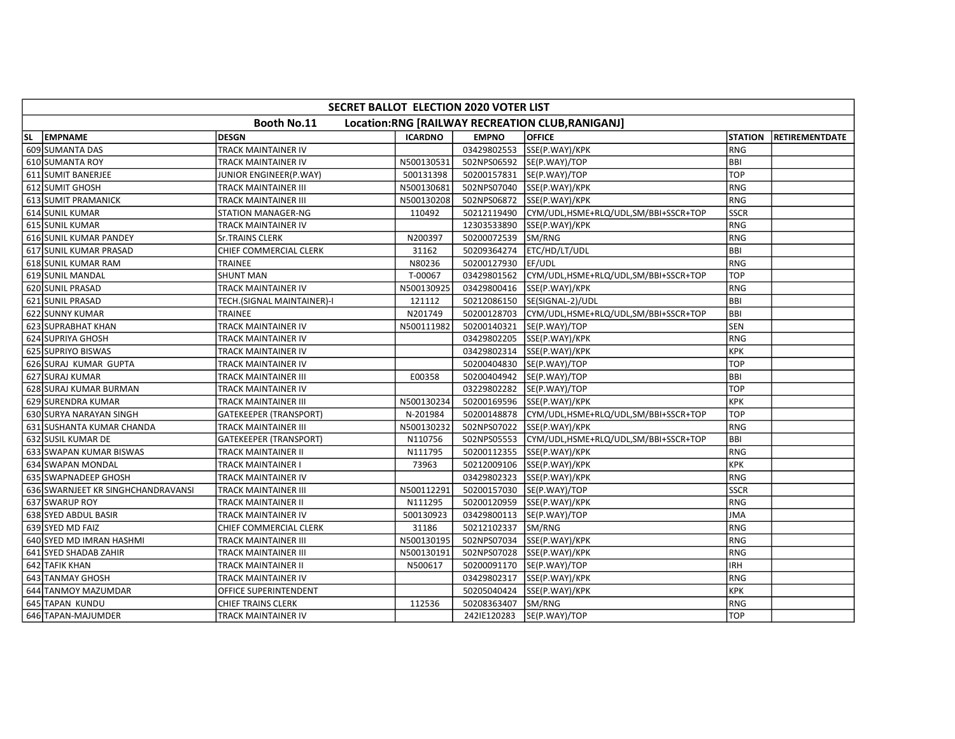|    | SECRET BALLOT ELECTION 2020 VOTER LIST                          |                               |                |              |                                                  |                |                |  |  |  |
|----|-----------------------------------------------------------------|-------------------------------|----------------|--------------|--------------------------------------------------|----------------|----------------|--|--|--|
|    | Booth No.11<br>Location:RNG [RAILWAY RECREATION CLUB, RANIGANJ] |                               |                |              |                                                  |                |                |  |  |  |
| SL | <b>EMPNAME</b>                                                  | <b>DESGN</b>                  | <b>ICARDNO</b> | <b>EMPNO</b> | <b>OFFICE</b>                                    | <b>STATION</b> | RETIREMENTDATE |  |  |  |
|    | 609 SUMANTA DAS                                                 | <b>TRACK MAINTAINER IV</b>    |                | 03429802553  | SSE(P.WAY)/KPK                                   | l RNG          |                |  |  |  |
|    | 610 SUMANTA ROY                                                 | TRACK MAINTAINER IV           | N500130531     |              | 502NPS06592  SE(P.WAY)/TOP                       | BBI            |                |  |  |  |
|    | 611 SUMIT BANERJEE                                              | JUNIOR ENGINEER(P.WAY)        | 500131398      |              | 50200157831  SE(P.WAY)/TOP                       | TOP            |                |  |  |  |
|    | 612 SUMIT GHOSH                                                 | TRACK MAINTAINER III          | N500130681     | 502NPS07040  | SSE(P.WAY)/KPK                                   | <b>RNG</b>     |                |  |  |  |
|    | 613 SUMIT PRAMANICK                                             | <b>TRACK MAINTAINER III</b>   | N500130208     |              | 502NPS06872 SSE(P.WAY)/KPK                       | <b>RNG</b>     |                |  |  |  |
|    | 614 SUNIL KUMAR                                                 | <b>STATION MANAGER-NG</b>     | 110492         | 50212119490  | CYM/UDL,HSME+RLQ/UDL,SM/BBI+SSCR+TOP             | Isscr          |                |  |  |  |
|    | 615 SUNIL KUMAR                                                 | TRACK MAINTAINER IV           |                | 12303533890  | SSE(P.WAY)/KPK                                   | RNG            |                |  |  |  |
|    | 616 SUNIL KUMAR PANDEY                                          | <b>Sr. TRAINS CLERK</b>       | N200397        | 50200072539  | SM/RNG                                           | RNG            |                |  |  |  |
|    | 617 SUNIL KUMAR PRASAD                                          | CHIEF COMMERCIAL CLERK        | 31162          | 50209364274  | ETC/HD/LT/UDL                                    | <b>BBI</b>     |                |  |  |  |
|    | 618 SUNIL KUMAR RAM                                             | <b>TRAINEE</b>                | N80236         | 50200127930  | EF/UDL                                           | IRNG           |                |  |  |  |
|    | 619 SUNIL MANDAL                                                | <b>SHUNT MAN</b>              | T-00067        | 03429801562  | CYM/UDL,HSME+RLQ/UDL,SM/BBI+SSCR+TOP             | TOP            |                |  |  |  |
|    | 620 SUNIL PRASAD                                                | TRACK MAINTAINER IV           | N500130925     | 03429800416  | SSE(P.WAY)/KPK                                   | <b>RNG</b>     |                |  |  |  |
|    | 621 SUNIL PRASAD                                                | TECH.(SIGNAL MAINTAINER)-I    | 121112         | 50212086150  | SE(SIGNAL-2)/UDL                                 | BBI            |                |  |  |  |
|    | 622 SUNNY KUMAR                                                 | TRAINEE                       | N201749        | 50200128703  | CYM/UDL,HSME+RLQ/UDL,SM/BBI+SSCR+TOP             | BBI            |                |  |  |  |
|    | 623 SUPRABHAT KHAN                                              | <b>TRACK MAINTAINER IV</b>    | N500111982     | 50200140321  | SE(P.WAY)/TOP                                    | <b>SEN</b>     |                |  |  |  |
|    | 624 SUPRIYA GHOSH                                               | TRACK MAINTAINER IV           |                | 03429802205  | SSE(P.WAY)/KPK                                   | <b>RNG</b>     |                |  |  |  |
|    | 625 SUPRIYO BISWAS                                              | TRACK MAINTAINER IV           |                | 03429802314  | SSE(P.WAY)/KPK                                   | KPK            |                |  |  |  |
|    | 626 SURAJ KUMAR GUPTA                                           | TRACK MAINTAINER IV           |                | 50200404830  | SE(P.WAY)/TOP                                    | TOP            |                |  |  |  |
|    | 627 SURAJ KUMAR                                                 | TRACK MAINTAINER III          | E00358         |              | 50200404942 SE(P.WAY)/TOP                        | <b>BBI</b>     |                |  |  |  |
|    | 628 SURAJ KUMAR BURMAN                                          | TRACK MAINTAINER IV           |                |              | 03229802282 SE(P.WAY)/TOP                        | <b>TOP</b>     |                |  |  |  |
|    | 629 SURENDRA KUMAR                                              | <b>TRACK MAINTAINER III</b>   | N500130234     |              | 50200169596 SSE(P.WAY)/KPK                       | крк            |                |  |  |  |
|    | 630 SURYA NARAYAN SINGH                                         | <b>GATEKEEPER (TRANSPORT)</b> | N-201984       |              | 50200148878 CYM/UDL,HSME+RLQ/UDL,SM/BBI+SSCR+TOP | <b>TOP</b>     |                |  |  |  |
|    | 631 SUSHANTA KUMAR CHANDA                                       | TRACK MAINTAINER III          | N500130232     | 502NPS07022  | SSE(P.WAY)/KPK                                   | <b>RNG</b>     |                |  |  |  |
|    | 632 SUSIL KUMAR DE                                              | GATEKEEPER (TRANSPORT)        | N110756        | 502NPS05553  | CYM/UDL,HSME+RLQ/UDL,SM/BBI+SSCR+TOP             | BBI            |                |  |  |  |
|    | 633 SWAPAN KUMAR BISWAS                                         | TRACK MAINTAINER II           | N111795        |              | 50200112355 SSE(P.WAY)/KPK                       | RNG            |                |  |  |  |
|    | 634 SWAPAN MONDAL                                               | TRACK MAINTAINER I            | 73963          | 50212009106  | SSE(P.WAY)/KPK                                   | <b>KPK</b>     |                |  |  |  |
|    | 635 SWAPNADEEP GHOSH                                            | <b>TRACK MAINTAINER IV</b>    |                | 03429802323  | SSE(P.WAY)/KPK                                   | <b>RNG</b>     |                |  |  |  |
|    | 636 SWARNJEET KR SINGHCHANDRAVANSI                              | TRACK MAINTAINER III          | N500112291     | 50200157030  | SE(P.WAY)/TOP                                    | <b>SSCR</b>    |                |  |  |  |
|    | 637 SWARUP ROY                                                  | TRACK MAINTAINER II           | N111295        | 50200120959  | SSE(P.WAY)/KPK                                   | RNG            |                |  |  |  |
|    | 638 SYED ABDUL BASIR                                            | <b>TRACK MAINTAINER IV</b>    | 500130923      | 03429800113  | SE(P.WAY)/TOP                                    | <b>JMA</b>     |                |  |  |  |
|    | 639 SYED MD FAIZ                                                | CHIEF COMMERCIAL CLERK        | 31186          | 50212102337  | SM/RNG                                           | RNG            |                |  |  |  |
|    | 640 SYED MD IMRAN HASHMI                                        | TRACK MAINTAINER III          | N500130195     | 502NPS07034  | SSE(P.WAY)/KPK                                   | <b>RNG</b>     |                |  |  |  |
|    | 641 SYED SHADAB ZAHIR                                           | TRACK MAINTAINER III          | N500130191     | 502NPS07028  | SSE(P.WAY)/KPK                                   | <b>RNG</b>     |                |  |  |  |
|    | 642 TAFIK KHAN                                                  | TRACK MAINTAINER II           | N500617        |              | 50200091170  SE(P.WAY)/TOP                       | <b>IRH</b>     |                |  |  |  |
|    | 643 TANMAY GHOSH                                                | TRACK MAINTAINER IV           |                | 03429802317  | SSE(P.WAY)/KPK                                   | RNG            |                |  |  |  |
|    | 644 TANMOY MAZUMDAR                                             | <b>OFFICE SUPERINTENDENT</b>  |                | 50205040424  | SSE(P.WAY)/KPK                                   | <b>KPK</b>     |                |  |  |  |
|    | 645 TAPAN KUNDU                                                 | <b>CHIEF TRAINS CLERK</b>     | 112536         | 50208363407  | SM/RNG                                           | <b>RNG</b>     |                |  |  |  |
|    | 646 TAPAN-MAJUMDER                                              | TRACK MAINTAINER IV           |                | 242IE120283  | SE(P.WAY)/TOP                                    | <b>TOP</b>     |                |  |  |  |